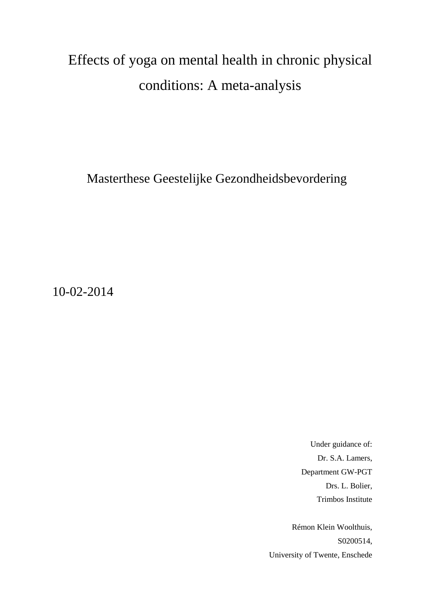# Effects of yoga on mental health in chronic physical conditions: A meta-analysis

Masterthese Geestelijke Gezondheidsbevordering

10-02-2014

Under guidance of: Dr. S.A. Lamers, Department GW-PGT Drs. L. Bolier, Trimbos Institute

Rémon Klein Woolthuis, S0200514, University of Twente, Enschede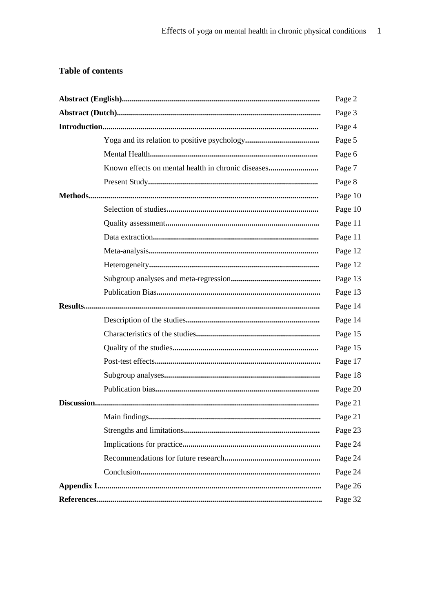# **Table of contents**

|                                                    | Page 2  |
|----------------------------------------------------|---------|
|                                                    | Page 3  |
|                                                    | Page 4  |
|                                                    | Page 5  |
|                                                    | Page 6  |
| Known effects on mental health in chronic diseases | Page 7  |
|                                                    | Page 8  |
|                                                    | Page 10 |
|                                                    | Page 10 |
|                                                    | Page 11 |
|                                                    | Page 11 |
|                                                    | Page 12 |
|                                                    | Page 12 |
|                                                    | Page 13 |
|                                                    | Page 13 |
|                                                    | Page 14 |
|                                                    | Page 14 |
|                                                    | Page 15 |
|                                                    | Page 15 |
|                                                    | Page 17 |
|                                                    | Page 18 |
|                                                    | Page 20 |
|                                                    | Page 21 |
|                                                    | Page 21 |
|                                                    | Page 23 |
|                                                    | Page 24 |
|                                                    | Page 24 |
|                                                    | Page 24 |
|                                                    | Page 26 |
|                                                    | Page 32 |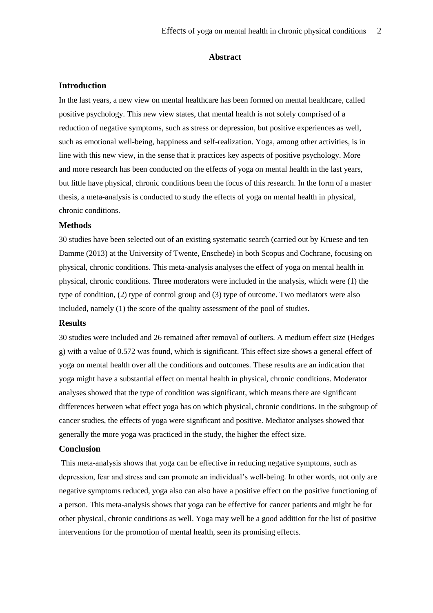#### **Abstract**

#### **Introduction**

In the last years, a new view on mental healthcare has been formed on mental healthcare, called positive psychology. This new view states, that mental health is not solely comprised of a reduction of negative symptoms, such as stress or depression, but positive experiences as well, such as emotional well-being, happiness and self-realization. Yoga, among other activities, is in line with this new view, in the sense that it practices key aspects of positive psychology. More and more research has been conducted on the effects of yoga on mental health in the last years, but little have physical, chronic conditions been the focus of this research. In the form of a master thesis, a meta-analysis is conducted to study the effects of yoga on mental health in physical, chronic conditions.

#### **Methods**

30 studies have been selected out of an existing systematic search (carried out by Kruese and ten Damme (2013) at the University of Twente, Enschede) in both Scopus and Cochrane, focusing on physical, chronic conditions. This meta-analysis analyses the effect of yoga on mental health in physical, chronic conditions. Three moderators were included in the analysis, which were (1) the type of condition, (2) type of control group and (3) type of outcome. Two mediators were also included, namely (1) the score of the quality assessment of the pool of studies.

# **Results**

30 studies were included and 26 remained after removal of outliers. A medium effect size (Hedges g) with a value of 0.572 was found, which is significant. This effect size shows a general effect of yoga on mental health over all the conditions and outcomes. These results are an indication that yoga might have a substantial effect on mental health in physical, chronic conditions. Moderator analyses showed that the type of condition was significant, which means there are significant differences between what effect yoga has on which physical, chronic conditions. In the subgroup of cancer studies, the effects of yoga were significant and positive. Mediator analyses showed that generally the more yoga was practiced in the study, the higher the effect size.

# **Conclusion**

This meta-analysis shows that yoga can be effective in reducing negative symptoms, such as depression, fear and stress and can promote an individual's well-being. In other words, not only are negative symptoms reduced, yoga also can also have a positive effect on the positive functioning of a person. This meta-analysis shows that yoga can be effective for cancer patients and might be for other physical, chronic conditions as well. Yoga may well be a good addition for the list of positive interventions for the promotion of mental health, seen its promising effects.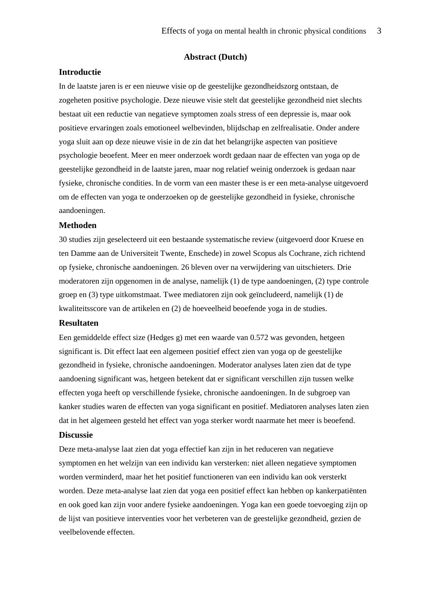#### **Abstract (Dutch)**

# **Introductie**

In de laatste jaren is er een nieuwe visie op de geestelijke gezondheidszorg ontstaan, de zogeheten positive psychologie. Deze nieuwe visie stelt dat geestelijke gezondheid niet slechts bestaat uit een reductie van negatieve symptomen zoals stress of een depressie is, maar ook positieve ervaringen zoals emotioneel welbevinden, blijdschap en zelfrealisatie. Onder andere yoga sluit aan op deze nieuwe visie in de zin dat het belangrijke aspecten van positieve psychologie beoefent. Meer en meer onderzoek wordt gedaan naar de effecten van yoga op de geestelijke gezondheid in de laatste jaren, maar nog relatief weinig onderzoek is gedaan naar fysieke, chronische condities. In de vorm van een master these is er een meta-analyse uitgevoerd om de effecten van yoga te onderzoeken op de geestelijke gezondheid in fysieke, chronische aandoeningen.

# **Methoden**

30 studies zijn geselecteerd uit een bestaande systematische review (uitgevoerd door Kruese en ten Damme aan de Universiteit Twente, Enschede) in zowel Scopus als Cochrane, zich richtend op fysieke, chronische aandoeningen. 26 bleven over na verwijdering van uitschieters. Drie moderatoren zijn opgenomen in de analyse, namelijk (1) de type aandoeningen, (2) type controle groep en (3) type uitkomstmaat. Twee mediatoren zijn ook geïncludeerd, namelijk (1) de kwaliteitsscore van de artikelen en (2) de hoeveelheid beoefende yoga in de studies.

# **Resultaten**

Een gemiddelde effect size (Hedges g) met een waarde van 0.572 was gevonden, hetgeen significant is. Dit effect laat een algemeen positief effect zien van yoga op de geestelijke gezondheid in fysieke, chronische aandoeningen. Moderator analyses laten zien dat de type aandoening significant was, hetgeen betekent dat er significant verschillen zijn tussen welke effecten yoga heeft op verschillende fysieke, chronische aandoeningen. In de subgroep van kanker studies waren de effecten van yoga significant en positief. Mediatoren analyses laten zien dat in het algemeen gesteld het effect van yoga sterker wordt naarmate het meer is beoefend.

# **Discussie**

Deze meta-analyse laat zien dat yoga effectief kan zijn in het reduceren van negatieve symptomen en het welzijn van een individu kan versterken: niet alleen negatieve symptomen worden verminderd, maar het het positief functioneren van een individu kan ook versterkt worden. Deze meta-analyse laat zien dat yoga een positief effect kan hebben op kankerpatiënten en ook goed kan zijn voor andere fysieke aandoeningen. Yoga kan een goede toevoeging zijn op de lijst van positieve interventies voor het verbeteren van de geestelijke gezondheid, gezien de veelbelovende effecten.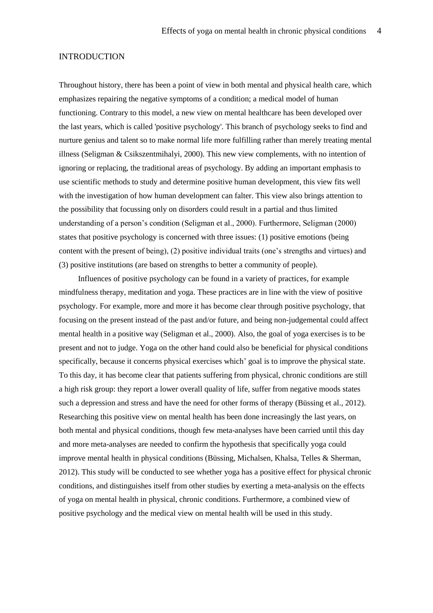#### INTRODUCTION

Throughout history, there has been a point of view in both mental and physical health care, which emphasizes repairing the negative symptoms of a condition; a medical model of human functioning. Contrary to this model, a new view on mental healthcare has been developed over the last years, which is called 'positive psychology'. This branch of psychology seeks to find and nurture genius and talent so to make normal life more fulfilling rather than merely treating mental illness (Seligman & Csikszentmihalyi, 2000). This new view complements, with no intention of ignoring or replacing, the traditional areas of psychology. By adding an important emphasis to use scientific methods to study and determine positive human development, this view fits well with the investigation of how human development can falter. This view also brings attention to the possibility that focussing only on disorders could result in a partial and thus limited understanding of a person's condition (Seligman et al., 2000). Furthermore, Seligman (2000) states that positive psychology is concerned with three issues: (1) positive emotions (being content with the present of being), (2) positive individual traits (one's strengths and virtues) and (3) positive institutions (are based on strengths to better a community of people).

Influences of positive psychology can be found in a variety of practices, for example mindfulness therapy, meditation and yoga. These practices are in line with the view of positive psychology. For example, more and more it has become clear through positive psychology, that focusing on the present instead of the past and/or future, and being non-judgemental could affect mental health in a positive way (Seligman et al., 2000). Also, the goal of yoga exercises is to be present and not to judge. Yoga on the other hand could also be beneficial for physical conditions specifically, because it concerns physical exercises which' goal is to improve the physical state. To this day, it has become clear that patients suffering from physical, chronic conditions are still a high risk group: they report a lower overall quality of life, suffer from negative moods states such a depression and stress and have the need for other forms of therapy (Büssing et al., 2012). Researching this positive view on mental health has been done increasingly the last years, on both mental and physical conditions, though few meta-analyses have been carried until this day and more meta-analyses are needed to confirm the hypothesis that specifically yoga could improve mental health in physical conditions (Büssing, Michalsen, Khalsa, Telles & Sherman, 2012). This study will be conducted to see whether yoga has a positive effect for physical chronic conditions, and distinguishes itself from other studies by exerting a meta-analysis on the effects of yoga on mental health in physical, chronic conditions. Furthermore, a combined view of positive psychology and the medical view on mental health will be used in this study.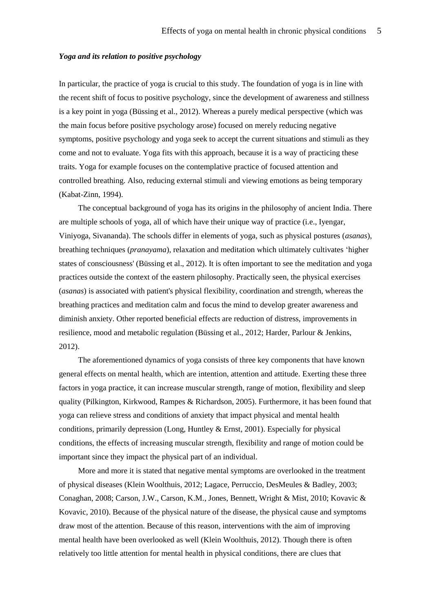#### *Yoga and its relation to positive psychology*

In particular, the practice of yoga is crucial to this study. The foundation of yoga is in line with the recent shift of focus to positive psychology, since the development of awareness and stillness is a key point in yoga (Büssing et al., 2012). Whereas a purely medical perspective (which was the main focus before positive psychology arose) focused on merely reducing negative symptoms, positive psychology and yoga seek to accept the current situations and stimuli as they come and not to evaluate. Yoga fits with this approach, because it is a way of practicing these traits. Yoga for example focuses on the contemplative practice of focused attention and controlled breathing. Also, reducing external stimuli and viewing emotions as being temporary (Kabat-Zinn, 1994).

The conceptual background of yoga has its origins in the philosophy of ancient India. There are multiple schools of yoga, all of which have their unique way of practice (i.e., Iyengar, Viniyoga, Sivananda). The schools differ in elements of yoga, such as physical postures (*asanas*), breathing techniques (*pranayama*), relaxation and meditation which ultimately cultivates 'higher states of consciousness' (Büssing et al., 2012). It is often important to see the meditation and yoga practices outside the context of the eastern philosophy. Practically seen, the physical exercises (*asanas*) is associated with patient's physical flexibility, coordination and strength, whereas the breathing practices and meditation calm and focus the mind to develop greater awareness and diminish anxiety. Other reported beneficial effects are reduction of distress, improvements in resilience, mood and metabolic regulation (Büssing et al., 2012; Harder, Parlour & Jenkins, 2012).

The aforementioned dynamics of yoga consists of three key components that have known general effects on mental health, which are intention, attention and attitude. Exerting these three factors in yoga practice, it can increase muscular strength, range of motion, flexibility and sleep quality (Pilkington, Kirkwood, Rampes & Richardson, 2005). Furthermore, it has been found that yoga can relieve stress and conditions of anxiety that impact physical and mental health conditions, primarily depression (Long, Huntley  $&$  Ernst, 2001). Especially for physical conditions, the effects of increasing muscular strength, flexibility and range of motion could be important since they impact the physical part of an individual.

More and more it is stated that negative mental symptoms are overlooked in the treatment of physical diseases (Klein Woolthuis, 2012; Lagace, Perruccio, DesMeules & Badley, 2003; Conaghan, 2008; Carson, J.W., Carson, K.M., Jones, Bennett, Wright & Mist, 2010; Kovavic & Kovavic, 2010). Because of the physical nature of the disease, the physical cause and symptoms draw most of the attention. Because of this reason, interventions with the aim of improving mental health have been overlooked as well (Klein Woolthuis, 2012). Though there is often relatively too little attention for mental health in physical conditions, there are clues that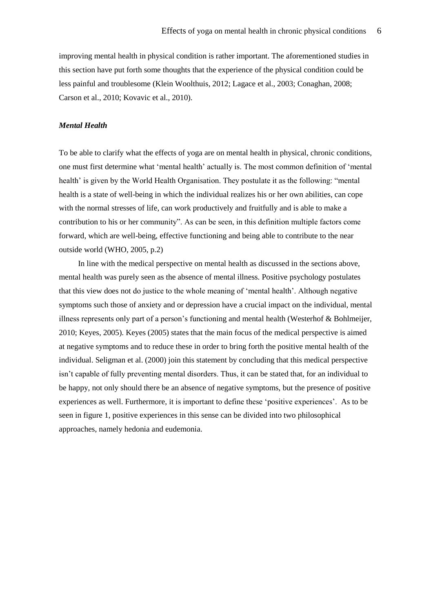improving mental health in physical condition is rather important. The aforementioned studies in this section have put forth some thoughts that the experience of the physical condition could be less painful and troublesome (Klein Woolthuis, 2012; Lagace et al., 2003; Conaghan, 2008; Carson et al., 2010; Kovavic et al., 2010).

# *Mental Health*

To be able to clarify what the effects of yoga are on mental health in physical, chronic conditions, one must first determine what 'mental health' actually is. The most common definition of 'mental health' is given by the World Health Organisation. They postulate it as the following: "mental health is a state of well-being in which the individual realizes his or her own abilities, can cope with the normal stresses of life, can work productively and fruitfully and is able to make a contribution to his or her community". As can be seen, in this definition multiple factors come forward, which are well-being, effective functioning and being able to contribute to the near outside world (WHO, 2005, p.2)

In line with the medical perspective on mental health as discussed in the sections above, mental health was purely seen as the absence of mental illness. Positive psychology postulates that this view does not do justice to the whole meaning of 'mental health'. Although negative symptoms such those of anxiety and or depression have a crucial impact on the individual, mental illness represents only part of a person's functioning and mental health (Westerhof & Bohlmeijer, 2010; Keyes, 2005). Keyes (2005) states that the main focus of the medical perspective is aimed at negative symptoms and to reduce these in order to bring forth the positive mental health of the individual. Seligman et al. (2000) join this statement by concluding that this medical perspective isn't capable of fully preventing mental disorders. Thus, it can be stated that, for an individual to be happy, not only should there be an absence of negative symptoms, but the presence of positive experiences as well. Furthermore, it is important to define these 'positive experiences'. As to be seen in figure 1, positive experiences in this sense can be divided into two philosophical approaches, namely hedonia and eudemonia.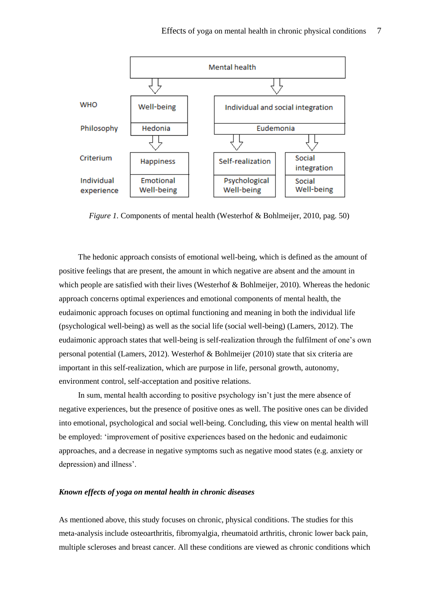

*Figure 1.* Components of mental health (Westerhof & Bohlmeijer, 2010, pag. 50)

The hedonic approach consists of emotional well-being, which is defined as the amount of positive feelings that are present, the amount in which negative are absent and the amount in which people are satisfied with their lives (Westerhof & Bohlmeijer, 2010). Whereas the hedonic approach concerns optimal experiences and emotional components of mental health, the eudaimonic approach focuses on optimal functioning and meaning in both the individual life (psychological well-being) as well as the social life (social well-being) (Lamers, 2012). The eudaimonic approach states that well-being is self-realization through the fulfilment of one's own personal potential (Lamers, 2012). Westerhof & Bohlmeijer (2010) state that six criteria are important in this self-realization, which are purpose in life, personal growth, autonomy, environment control, self-acceptation and positive relations.

In sum, mental health according to positive psychology isn't just the mere absence of negative experiences, but the presence of positive ones as well. The positive ones can be divided into emotional, psychological and social well-being. Concluding, this view on mental health will be employed: 'improvement of positive experiences based on the hedonic and eudaimonic approaches, and a decrease in negative symptoms such as negative mood states (e.g. anxiety or depression) and illness'.

#### *Known effects of yoga on mental health in chronic diseases*

As mentioned above, this study focuses on chronic, physical conditions. The studies for this meta-analysis include osteoarthritis, fibromyalgia, rheumatoid arthritis, chronic lower back pain, multiple scleroses and breast cancer. All these conditions are viewed as chronic conditions which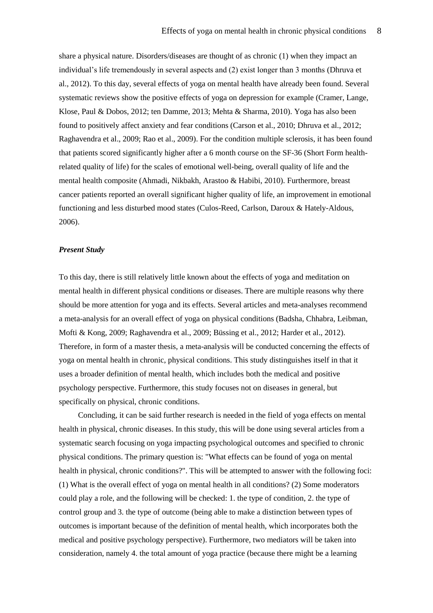share a physical nature. Disorders/diseases are thought of as chronic (1) when they impact an individual's life tremendously in several aspects and (2) exist longer than 3 months (Dhruva et al., 2012). To this day, several effects of yoga on mental health have already been found. Several systematic reviews show the positive effects of yoga on depression for example (Cramer, Lange, Klose, Paul & Dobos, 2012; ten Damme, 2013; Mehta & Sharma, 2010). Yoga has also been found to positively affect anxiety and fear conditions (Carson et al., 2010; Dhruva et al., 2012; Raghavendra et al., 2009; Rao et al., 2009). For the condition multiple sclerosis, it has been found that patients scored significantly higher after a 6 month course on the SF-36 (Short Form healthrelated quality of life) for the scales of emotional well-being, overall quality of life and the mental health composite (Ahmadi, Nikbakh, Arastoo & Habibi, 2010). Furthermore, breast cancer patients reported an overall significant higher quality of life, an improvement in emotional functioning and less disturbed mood states (Culos-Reed, Carlson, Daroux & Hately-Aldous, 2006).

#### *Present Study*

To this day, there is still relatively little known about the effects of yoga and meditation on mental health in different physical conditions or diseases. There are multiple reasons why there should be more attention for yoga and its effects. Several articles and meta-analyses recommend a meta-analysis for an overall effect of yoga on physical conditions (Badsha, Chhabra, Leibman, Mofti & Kong, 2009; Raghavendra et al., 2009; Büssing et al., 2012; Harder et al., 2012). Therefore, in form of a master thesis, a meta-analysis will be conducted concerning the effects of yoga on mental health in chronic, physical conditions. This study distinguishes itself in that it uses a broader definition of mental health, which includes both the medical and positive psychology perspective. Furthermore, this study focuses not on diseases in general, but specifically on physical, chronic conditions.

Concluding, it can be said further research is needed in the field of yoga effects on mental health in physical, chronic diseases. In this study, this will be done using several articles from a systematic search focusing on yoga impacting psychological outcomes and specified to chronic physical conditions. The primary question is: "What effects can be found of yoga on mental health in physical, chronic conditions?". This will be attempted to answer with the following foci: (1) What is the overall effect of yoga on mental health in all conditions? (2) Some moderators could play a role, and the following will be checked: 1. the type of condition, 2. the type of control group and 3. the type of outcome (being able to make a distinction between types of outcomes is important because of the definition of mental health, which incorporates both the medical and positive psychology perspective). Furthermore, two mediators will be taken into consideration, namely 4. the total amount of yoga practice (because there might be a learning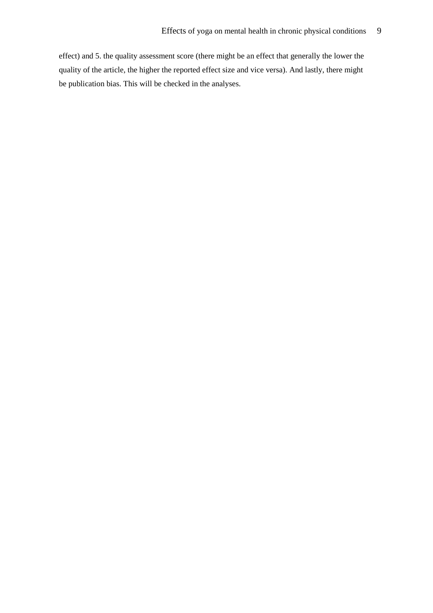effect) and 5. the quality assessment score (there might be an effect that generally the lower the quality of the article, the higher the reported effect size and vice versa). And lastly, there might be publication bias. This will be checked in the analyses.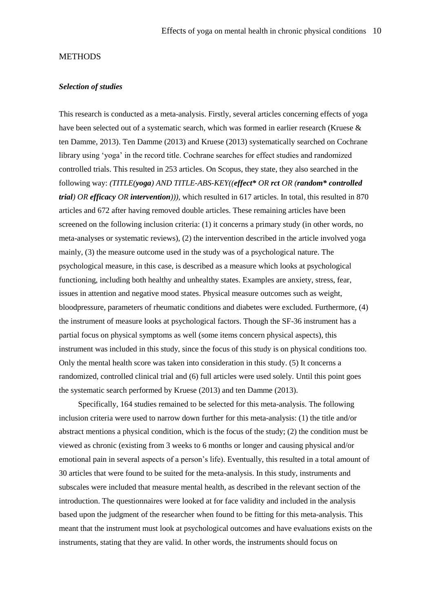#### **METHODS**

#### *Selection of studies*

This research is conducted as a meta-analysis. Firstly, several articles concerning effects of yoga have been selected out of a systematic search, which was formed in earlier research (Kruese & ten Damme, 2013). Ten Damme (2013) and Kruese (2013) systematically searched on Cochrane library using 'yoga' in the record title. Cochrane searches for effect studies and randomized controlled trials. This resulted in 253 articles. On Scopus, they state, they also searched in the following way: *(TITLE(yoga) AND TITLE-ABS-KEY((effect\* OR rct OR (random\* controlled trial) OR efficacy OR intervention))),* which resulted in 617 articles. In total, this resulted in 870 articles and 672 after having removed double articles. These remaining articles have been screened on the following inclusion criteria: (1) it concerns a primary study (in other words, no meta-analyses or systematic reviews), (2) the intervention described in the article involved yoga mainly, (3) the measure outcome used in the study was of a psychological nature. The psychological measure, in this case, is described as a measure which looks at psychological functioning, including both healthy and unhealthy states. Examples are anxiety, stress, fear, issues in attention and negative mood states. Physical measure outcomes such as weight, bloodpressure, parameters of rheumatic conditions and diabetes were excluded. Furthermore, (4) the instrument of measure looks at psychological factors. Though the SF-36 instrument has a partial focus on physical symptoms as well (some items concern physical aspects), this instrument was included in this study, since the focus of this study is on physical conditions too. Only the mental health score was taken into consideration in this study. (5) It concerns a randomized, controlled clinical trial and (6) full articles were used solely. Until this point goes the systematic search performed by Kruese (2013) and ten Damme (2013).

Specifically, 164 studies remained to be selected for this meta-analysis. The following inclusion criteria were used to narrow down further for this meta-analysis: (1) the title and/or abstract mentions a physical condition, which is the focus of the study; (2) the condition must be viewed as chronic (existing from 3 weeks to 6 months or longer and causing physical and/or emotional pain in several aspects of a person's life). Eventually, this resulted in a total amount of 30 articles that were found to be suited for the meta-analysis. In this study, instruments and subscales were included that measure mental health, as described in the relevant section of the introduction. The questionnaires were looked at for face validity and included in the analysis based upon the judgment of the researcher when found to be fitting for this meta-analysis. This meant that the instrument must look at psychological outcomes and have evaluations exists on the instruments, stating that they are valid. In other words, the instruments should focus on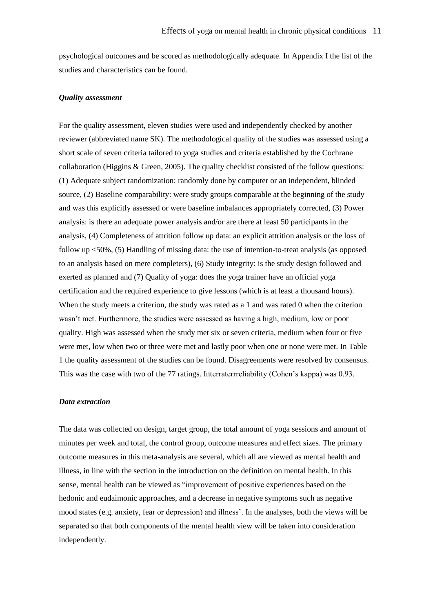psychological outcomes and be scored as methodologically adequate. In Appendix I the list of the studies and characteristics can be found.

# *Quality assessment*

For the quality assessment, eleven studies were used and independently checked by another reviewer (abbreviated name SK). The methodological quality of the studies was assessed using a short scale of seven criteria tailored to yoga studies and criteria established by the Cochrane collaboration (Higgins & Green, 2005). The quality checklist consisted of the follow questions: (1) Adequate subject randomization: randomly done by computer or an independent, blinded source, (2) Baseline comparability: were study groups comparable at the beginning of the study and was this explicitly assessed or were baseline imbalances appropriately corrected, (3) Power analysis: is there an adequate power analysis and/or are there at least 50 participants in the analysis, (4) Completeness of attrition follow up data: an explicit attrition analysis or the loss of follow up <50%, (5) Handling of missing data: the use of intention-to-treat analysis (as opposed to an analysis based on mere completers), (6) Study integrity: is the study design followed and exerted as planned and (7) Quality of yoga: does the yoga trainer have an official yoga certification and the required experience to give lessons (which is at least a thousand hours). When the study meets a criterion, the study was rated as a 1 and was rated 0 when the criterion wasn't met. Furthermore, the studies were assessed as having a high, medium, low or poor quality. High was assessed when the study met six or seven criteria, medium when four or five were met, low when two or three were met and lastly poor when one or none were met. In Table 1 the quality assessment of the studies can be found. Disagreements were resolved by consensus. This was the case with two of the 77 ratings. Interraterrreliability (Cohen's kappa) was 0.93.

#### *Data extraction*

The data was collected on design, target group, the total amount of yoga sessions and amount of minutes per week and total, the control group, outcome measures and effect sizes. The primary outcome measures in this meta-analysis are several, which all are viewed as mental health and illness, in line with the section in the introduction on the definition on mental health. In this sense, mental health can be viewed as "improvement of positive experiences based on the hedonic and eudaimonic approaches, and a decrease in negative symptoms such as negative mood states (e.g. anxiety, fear or depression) and illness'. In the analyses, both the views will be separated so that both components of the mental health view will be taken into consideration independently.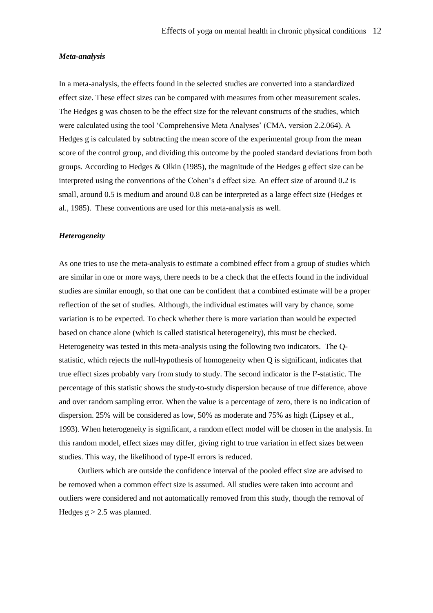#### *Meta-analysis*

In a meta-analysis, the effects found in the selected studies are converted into a standardized effect size. These effect sizes can be compared with measures from other measurement scales. The Hedges g was chosen to be the effect size for the relevant constructs of the studies, which were calculated using the tool 'Comprehensive Meta Analyses' (CMA, version 2.2.064). A Hedges g is calculated by subtracting the mean score of the experimental group from the mean score of the control group, and dividing this outcome by the pooled standard deviations from both groups. According to Hedges & Olkin (1985), the magnitude of the Hedges g effect size can be interpreted using the conventions of the Cohen's d effect size. An effect size of around 0.2 is small, around 0.5 is medium and around 0.8 can be interpreted as a large effect size (Hedges et al., 1985). These conventions are used for this meta-analysis as well.

#### *Heterogeneity*

As one tries to use the meta-analysis to estimate a combined effect from a group of studies which are similar in one or more ways, there needs to be a check that the effects found in the individual studies are similar enough, so that one can be confident that a combined estimate will be a proper reflection of the set of studies. Although, the individual estimates will vary by chance, some variation is to be expected. To check whether there is more variation than would be expected based on chance alone (which is called statistical heterogeneity), this must be checked. Heterogeneity was tested in this meta-analysis using the following two indicators. The Qstatistic, which rejects the null-hypothesis of homogeneity when Q is significant, indicates that true effect sizes probably vary from study to study. The second indicator is the I²-statistic. The percentage of this statistic shows the study-to-study dispersion because of true difference, above and over random sampling error. When the value is a percentage of zero, there is no indication of dispersion. 25% will be considered as low, 50% as moderate and 75% as high (Lipsey et al., 1993). When heterogeneity is significant, a random effect model will be chosen in the analysis. In this random model, effect sizes may differ, giving right to true variation in effect sizes between studies. This way, the likelihood of type-II errors is reduced.

Outliers which are outside the confidence interval of the pooled effect size are advised to be removed when a common effect size is assumed. All studies were taken into account and outliers were considered and not automatically removed from this study, though the removal of Hedges  $g > 2.5$  was planned.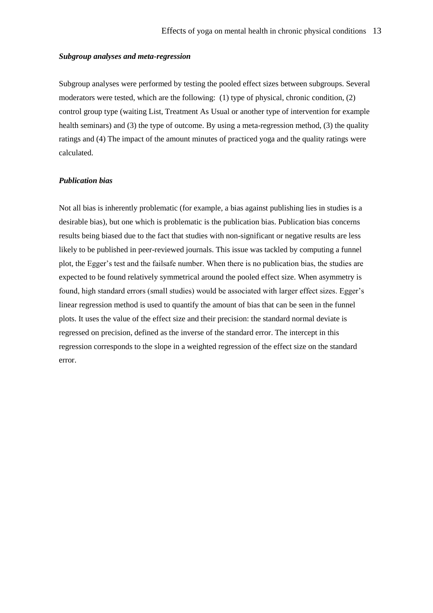#### *Subgroup analyses and meta-regression*

Subgroup analyses were performed by testing the pooled effect sizes between subgroups. Several moderators were tested, which are the following: (1) type of physical, chronic condition, (2) control group type (waiting List, Treatment As Usual or another type of intervention for example health seminars) and (3) the type of outcome. By using a meta-regression method, (3) the quality ratings and (4) The impact of the amount minutes of practiced yoga and the quality ratings were calculated.

# *Publication bias*

Not all bias is inherently problematic (for example, a bias against publishing lies in studies is a desirable bias), but one which is problematic is the publication bias. Publication bias concerns results being biased due to the fact that studies with non-significant or negative results are less likely to be published in peer-reviewed journals. This issue was tackled by computing a funnel plot, the Egger's test and the failsafe number. When there is no publication bias, the studies are expected to be found relatively symmetrical around the pooled effect size. When asymmetry is found, high standard errors (small studies) would be associated with larger effect sizes. Egger's linear regression method is used to quantify the amount of bias that can be seen in the funnel plots. It uses the value of the effect size and their precision: the standard normal deviate is regressed on precision, defined as the inverse of the standard error. The intercept in this regression corresponds to the slope in a weighted regression of the effect size on the standard error.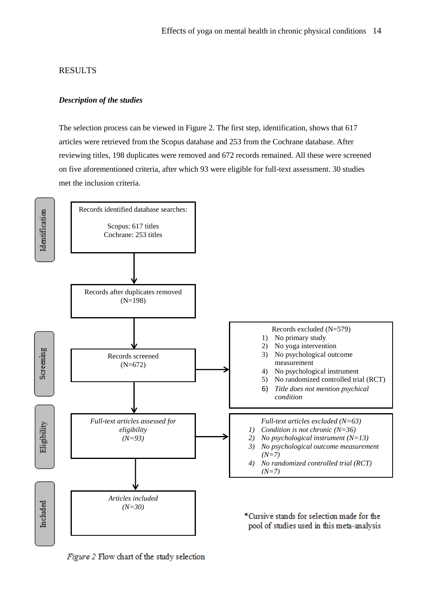# RESULTS

# *Description of the studies*

The selection process can be viewed in Figure 2. The first step, identification, shows that 617 articles were retrieved from the Scopus database and 253 from the Cochrane database. After reviewing titles, 198 duplicates were removed and 672 records remained. All these were screened on five aforementioned criteria, after which 93 were eligible for full-text assessment. 30 studies met the inclusion criteria.



Figure 2 Flow chart of the study selection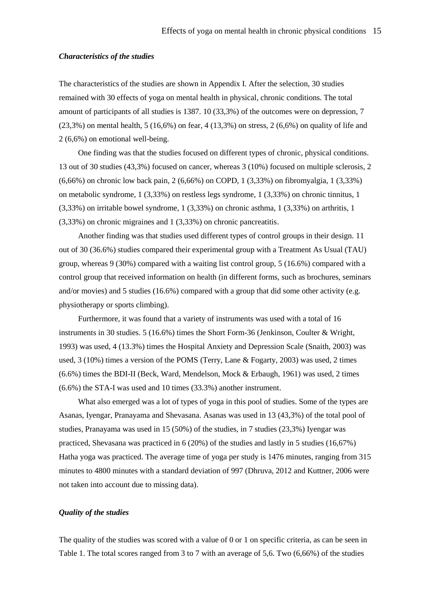#### *Characteristics of the studies*

The characteristics of the studies are shown in Appendix I. After the selection, 30 studies remained with 30 effects of yoga on mental health in physical, chronic conditions. The total amount of participants of all studies is 1387. 10 (33,3%) of the outcomes were on depression, 7 (23,3%) on mental health, 5 (16,6%) on fear, 4 (13,3%) on stress, 2 (6,6%) on quality of life and 2 (6,6%) on emotional well-being.

One finding was that the studies focused on different types of chronic, physical conditions. 13 out of 30 studies (43,3%) focused on cancer, whereas 3 (10%) focused on multiple sclerosis, 2 (6,66%) on chronic low back pain, 2 (6,66%) on COPD, 1 (3,33%) on fibromyalgia, 1 (3,33%) on metabolic syndrome, 1 (3,33%) on restless legs syndrome, 1 (3,33%) on chronic tinnitus, 1 (3,33%) on irritable bowel syndrome, 1 (3,33%) on chronic asthma, 1 (3,33%) on arthritis, 1 (3,33%) on chronic migraines and 1 (3,33%) on chronic pancreatitis.

Another finding was that studies used different types of control groups in their design. 11 out of 30 (36.6%) studies compared their experimental group with a Treatment As Usual (TAU) group, whereas 9 (30%) compared with a waiting list control group, 5 (16.6%) compared with a control group that received information on health (in different forms, such as brochures, seminars and/or movies) and 5 studies (16.6%) compared with a group that did some other activity (e.g. physiotherapy or sports climbing).

Furthermore, it was found that a variety of instruments was used with a total of 16 instruments in 30 studies. 5 (16.6%) times the Short Form-36 (Jenkinson, Coulter & Wright, 1993) was used, 4 (13.3%) times the Hospital Anxiety and Depression Scale (Snaith, 2003) was used, 3 (10%) times a version of the POMS (Terry, Lane & Fogarty, 2003) was used, 2 times (6.6%) times the BDI-II (Beck, Ward, Mendelson, Mock & Erbaugh, 1961) was used, 2 times (6.6%) the STA-I was used and 10 times (33.3%) another instrument.

What also emerged was a lot of types of yoga in this pool of studies. Some of the types are Asanas, Iyengar, Pranayama and Shevasana. Asanas was used in 13 (43,3%) of the total pool of studies, Pranayama was used in 15 (50%) of the studies, in 7 studies (23,3%) Iyengar was practiced, Shevasana was practiced in 6 (20%) of the studies and lastly in 5 studies (16,67%) Hatha yoga was practiced. The average time of yoga per study is 1476 minutes, ranging from 315 minutes to 4800 minutes with a standard deviation of 997 (Dhruva, 2012 and Kuttner, 2006 were not taken into account due to missing data).

# *Quality of the studies*

The quality of the studies was scored with a value of 0 or 1 on specific criteria, as can be seen in Table 1. The total scores ranged from 3 to 7 with an average of 5,6. Two (6,66%) of the studies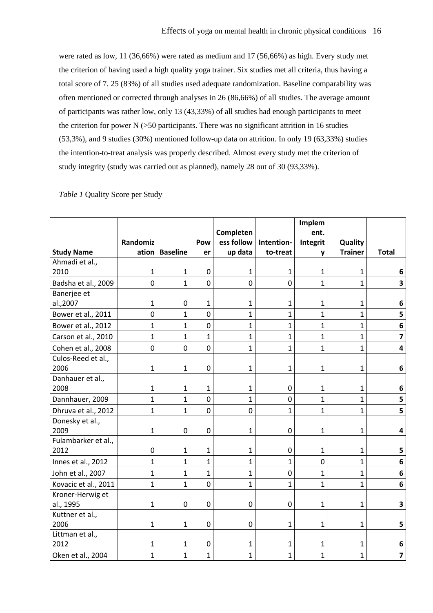were rated as low, 11 (36,66%) were rated as medium and 17 (56,66%) as high. Every study met the criterion of having used a high quality yoga trainer. Six studies met all criteria, thus having a total score of 7. 25 (83%) of all studies used adequate randomization. Baseline comparability was often mentioned or corrected through analyses in 26 (86,66%) of all studies. The average amount of participants was rather low, only 13 (43,33%) of all studies had enough participants to meet the criterion for power  $N$  ( $>50$  participants. There was no significant attrition in 16 studies (53,3%), and 9 studies (30%) mentioned follow-up data on attrition. In only 19 (63,33%) studies the intention-to-treat analysis was properly described. Almost every study met the criterion of study integrity (study was carried out as planned), namely 28 out of 30 (93,33%).

#### *Table 1* Quality Score per Study

|                      |                |                  |                |                |                | Implem         |                |                         |
|----------------------|----------------|------------------|----------------|----------------|----------------|----------------|----------------|-------------------------|
|                      |                |                  |                | Completen      |                | ent.           |                |                         |
|                      | Randomiz       |                  | Pow            | ess follow     | Intention-     | Integrit       | Quality        |                         |
| <b>Study Name</b>    | ation          | <b>Baseline</b>  | er             | up data        | to-treat       | y              | <b>Trainer</b> | <b>Total</b>            |
| Ahmadi et al.,       |                |                  |                |                |                |                |                |                         |
| 2010                 | $\mathbf{1}$   | $\mathbf{1}$     | $\mathbf 0$    | 1              | $\mathbf{1}$   | $\mathbf{1}$   | $\mathbf{1}$   | 6                       |
| Badsha et al., 2009  | $\mathbf 0$    | $\mathbf{1}$     | $\overline{0}$ | $\overline{0}$ | $\mathbf 0$    | $\mathbf{1}$   | $\mathbf{1}$   | 3                       |
| Banerjee et          |                |                  |                |                |                |                |                |                         |
| al.,2007             | $\mathbf{1}$   | $\mathbf 0$      | $\mathbf{1}$   | $\mathbf 1$    | $\mathbf{1}$   | $\mathbf{1}$   | $\mathbf{1}$   | 6                       |
| Bower et al., 2011   | $\overline{0}$ | $\mathbf{1}$     | $\mathbf 0$    | $\mathbf{1}$   | $\mathbf{1}$   | $\mathbf{1}$   | $\mathbf{1}$   | 5                       |
| Bower et al., 2012   | $\mathbf{1}$   | $\mathbf{1}$     | $\mathbf 0$    | $\mathbf{1}$   | $\mathbf{1}$   | $\mathbf{1}$   | $\mathbf{1}$   | 6                       |
| Carson et al., 2010  | $\mathbf{1}$   | $\mathbf{1}$     | $\mathbf{1}$   | $\mathbf{1}$   | $\mathbf{1}$   | $\overline{1}$ | $\mathbf{1}$   | $\overline{\mathbf{z}}$ |
| Cohen et al., 2008   | $\mathbf 0$    | $\mathbf 0$      | $\mathbf 0$    | $\mathbf{1}$   | $\mathbf{1}$   | $\mathbf{1}$   | $\mathbf{1}$   | 4                       |
| Culos-Reed et al.,   |                |                  |                |                |                |                |                |                         |
| 2006                 | $\mathbf 1$    | $\mathbf{1}$     | $\overline{0}$ | $\mathbf{1}$   | $\mathbf{1}$   | $\mathbf{1}$   | $\mathbf{1}$   | 6                       |
| Danhauer et al.,     |                |                  |                |                |                |                |                |                         |
| 2008                 | $\mathbf{1}$   | 1                | $\mathbf{1}$   | 1              | $\mathbf 0$    | $\mathbf{1}$   | $\mathbf{1}$   | 6                       |
| Dannhauer, 2009      | $\mathbf{1}$   | $\mathbf{1}$     | $\mathbf 0$    | $\mathbf{1}$   | $\mathbf 0$    | $\mathbf{1}$   | $\mathbf{1}$   | 5                       |
| Dhruva et al., 2012  | $\mathbf{1}$   | $\mathbf{1}$     | $\mathbf 0$    | $\mathbf 0$    | $\mathbf{1}$   | $\mathbf{1}$   | $\mathbf{1}$   | 5                       |
| Donesky et al.,      |                |                  |                |                |                |                |                |                         |
| 2009                 | $\mathbf{1}$   | $\boldsymbol{0}$ | $\mathbf 0$    | $\mathbf{1}$   | $\pmb{0}$      | $\mathbf{1}$   | $\mathbf{1}$   | 4                       |
| Fulambarker et al.,  |                |                  |                |                |                |                |                |                         |
| 2012                 | $\mathbf 0$    | $\mathbf{1}$     | $\mathbf 1$    | 1              | $\mathbf 0$    | $\mathbf{1}$   | $\mathbf{1}$   | 5                       |
| Innes et al., 2012   | $\mathbf{1}$   | $\mathbf{1}$     | $\mathbf{1}$   | $\mathbf{1}$   | $\mathbf{1}$   | $\mathbf 0$    | $\mathbf{1}$   | 6                       |
| John et al., 2007    | $\mathbf{1}$   | $\mathbf{1}$     | $\mathbf{1}$   | $\mathbf{1}$   | $\overline{0}$ | $\mathbf{1}$   | $\mathbf{1}$   | 6                       |
| Kovacic et al., 2011 | $\mathbf{1}$   | $\mathbf{1}$     | $\overline{0}$ | $\mathbf{1}$   | $\mathbf{1}$   | $\mathbf{1}$   | $\mathbf{1}$   | 6                       |
| Kroner-Herwig et     |                |                  |                |                |                |                |                |                         |
| al., 1995            | $\mathbf 1$    | $\mathbf 0$      | $\mathbf 0$    | $\mathbf 0$    | $\mathbf 0$    | $\mathbf{1}$   | $\mathbf{1}$   | 3                       |
| Kuttner et al.,      |                |                  |                |                |                |                |                |                         |
| 2006                 | $\mathbf{1}$   | $\mathbf{1}$     | $\mathbf 0$    | $\mathbf 0$    | $\mathbf{1}$   | $\mathbf{1}$   | $\mathbf{1}$   | 5                       |
| Littman et al.,      |                |                  |                |                |                |                |                |                         |
| 2012                 | 1              | 1                | 0              | 1              | 1              | $\mathbf{1}$   | 1              | 6                       |
| Oken et al., 2004    | $\mathbf{1}$   | $\mathbf{1}$     | $\overline{1}$ | $\mathbf{1}$   | $\mathbf{1}$   | $\mathbf{1}$   | $\mathbf{1}$   | $\overline{\mathbf{z}}$ |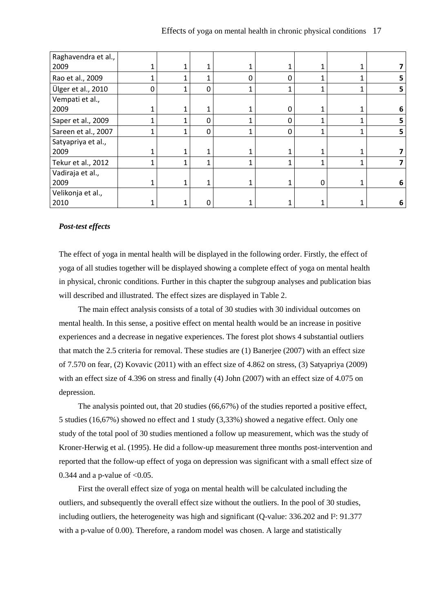| Raghavendra et al., |   |   |          |   |   |   |   |   |
|---------------------|---|---|----------|---|---|---|---|---|
| 2009                |   |   |          |   | 1 |   |   |   |
| Rao et al., 2009    |   |   |          | 0 | 0 | 1 |   |   |
| Ülger et al., 2010  | 0 | 1 | $\Omega$ | 1 | 1 | 1 |   | 5 |
| Vempati et al.,     |   |   |          |   |   |   |   |   |
| 2009                |   | 1 |          |   | 0 |   |   | 6 |
| Saper et al., 2009  |   | 1 | $\Omega$ | 1 | 0 |   | 4 |   |
| Sareen et al., 2007 |   | 1 | $\Omega$ | 1 | 0 | 1 | 1 | 5 |
| Satyapriya et al.,  |   |   |          |   |   |   |   |   |
| 2009                |   |   |          |   |   |   |   |   |
| Tekur et al., 2012  | 1 | 1 | 4        | 1 | 1 | 1 | 1 |   |
| Vadiraja et al.,    |   |   |          |   |   |   |   |   |
| 2009                |   |   | ◢        |   | 1 | 0 |   | 6 |
| Velikonja et al.,   |   |   |          |   |   |   |   |   |
| 2010                |   |   | 0        |   |   |   |   | 6 |

# *Post-test effects*

The effect of yoga in mental health will be displayed in the following order. Firstly, the effect of yoga of all studies together will be displayed showing a complete effect of yoga on mental health in physical, chronic conditions. Further in this chapter the subgroup analyses and publication bias will described and illustrated. The effect sizes are displayed in Table 2.

The main effect analysis consists of a total of 30 studies with 30 individual outcomes on mental health. In this sense, a positive effect on mental health would be an increase in positive experiences and a decrease in negative experiences. The forest plot shows 4 substantial outliers that match the 2.5 criteria for removal. These studies are (1) Banerjee (2007) with an effect size of 7.570 on fear, (2) Kovavic (2011) with an effect size of 4.862 on stress, (3) Satyapriya (2009) with an effect size of 4.396 on stress and finally (4) John (2007) with an effect size of 4.075 on depression.

The analysis pointed out, that 20 studies (66,67%) of the studies reported a positive effect, 5 studies (16,67%) showed no effect and 1 study (3,33%) showed a negative effect. Only one study of the total pool of 30 studies mentioned a follow up measurement, which was the study of Kroner-Herwig et al. (1995). He did a follow-up measurement three months post-intervention and reported that the follow-up effect of yoga on depression was significant with a small effect size of 0.344 and a p-value of  $< 0.05$ .

First the overall effect size of yoga on mental health will be calculated including the outliers, and subsequently the overall effect size without the outliers. In the pool of 30 studies, including outliers, the heterogeneity was high and significant (Q-value: 336.202 and I²: 91.377 with a p-value of 0.00). Therefore, a random model was chosen. A large and statistically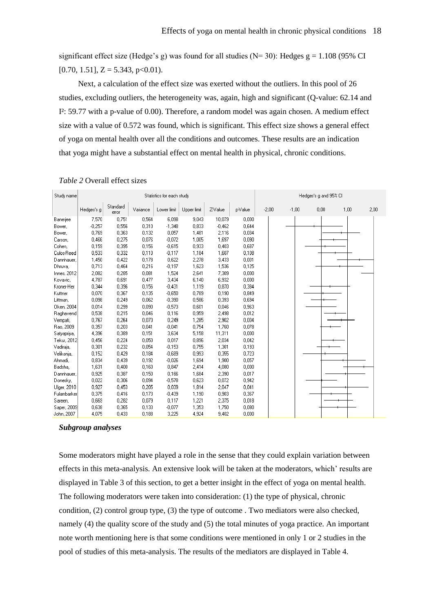significant effect size (Hedge's g) was found for all studies ( $N=30$ ): Hedges g = 1.108 (95% CI  $[0.70, 1.51]$ ,  $Z = 5.343$ ,  $p < 0.01$ ).

Next, a calculation of the effect size was exerted without the outliers. In this pool of 26 studies, excluding outliers, the heterogeneity was, again, high and significant (Q-value: 62.14 and I²: 59.77 with a p-value of 0.00). Therefore, a random model was again chosen. A medium effect size with a value of 0.572 was found, which is significant. This effect size shows a general effect of yoga on mental health over all the conditions and outcomes. These results are an indication that yoga might have a substantial effect on mental health in physical, chronic conditions.

| Study name  |            |                   |          | Statistics for each study |             |          |         | Hedges's g and 95% CI |         |         |      |      |      |  |
|-------------|------------|-------------------|----------|---------------------------|-------------|----------|---------|-----------------------|---------|---------|------|------|------|--|
|             | Hedges's g | Standard<br>error | Variance | Lower limit               | Upper limit | Z-Value  | p-Value |                       | $-2,00$ | $-1,00$ | 0,00 | 1,00 | 2,00 |  |
| Banerjee    | 7,570      | 0.751             | 0.564    | 6,098                     | 9,043       | 10,079   | 0,000   |                       |         |         |      |      |      |  |
| Bower.      | $-0.257$   | 0.556             | 0.310    | $-1,348$                  | 0.833       | $-0.462$ | 0.644   |                       |         |         |      |      |      |  |
| Bower,      | 0.769      | 0.363             | 0.132    | 0,057                     | 1,481       | 2.116    | 0.034   |                       |         |         |      |      |      |  |
| Carson,     | 0,466      | 0,275             | 0,076    | $-0.072$                  | 1,005       | 1,697    | 0,090   |                       |         |         |      |      |      |  |
| Cohen,      | 0,159      | 0,395             | 0,156    | $-0,615$                  | 0,933       | 0,403    | 0,687   |                       |         |         |      |      |      |  |
| Culos-Reed  | 0,533      | 0,332             | 0,110    | $-0.117$                  | 1,184       | 1,607    | 0,108   |                       |         |         |      |      |      |  |
| Dannhauer,  | 1,450      | 0.422             | 0.178    | 0.622                     | 2,278       | 3,433    | 0.001   |                       |         |         |      |      |      |  |
| Dhruva,     | 0,713      | 0,464             | 0,216    | $-0.197$                  | 1,623       | 1,536    | 0.125   |                       |         |         |      |      |      |  |
| Innes, 2012 | 2,082      | 0.285             | 0,081    | 1,524                     | 2,641       | 7,309    | 0.000   |                       |         |         |      |      |      |  |
| Kovavic,    | 4,787      | 0,691             | 0.477    | 3,434                     | 6,140       | 6,932    | 0,000   |                       |         |         |      |      |      |  |
| Kroner-Her  | 0,344      | 0.396             | 0,156    | $-0.431$                  | 1,119       | 0,870    | 0,384   |                       |         |         |      |      |      |  |
| Kuttner     | 0.070      | 0,367             | 0.135    | $-0,650$                  | 0,789       | 0.190    | 0.849   |                       |         |         |      |      |      |  |
| Littman,    | 0.098      | 0,249             | 0,062    | $-0.390$                  | 0,586       | 0,393    | 0.694   |                       |         |         |      |      |      |  |
| Oken, 2004  | 0,014      | 0.299             | 0.090    | $-0,573$                  | 0,601       | 0,046    | 0,963   |                       |         |         |      |      |      |  |
| Raghavend   | 0,538      | 0,215             | 0,046    | 0,116                     | 0,959       | 2,498    | 0,012   |                       |         |         |      |      |      |  |
| Vempati,    | 0.767      | 0.264             | 0.070    | 0.249                     | 1,285       | 2,902    | 0.004   |                       |         |         |      |      |      |  |
| Rao, 2009   | 0,357      | 0,203             | 0,041    | $-0.041$                  | 0,754       | 1,760    | 0,078   |                       |         |         |      |      |      |  |
| Satyapriya, | 4,396      | 0.389             | 0,151    | 3,634                     | 5,158       | 11,311   | 0.000   |                       |         |         |      |      |      |  |
| Tekur, 2012 | 0,456      | 0,224             | 0,050    | 0,017                     | 0,896       | 2,034    | 0.042   |                       |         |         |      |      |      |  |
| Vadiraja,   | 0,301      | 0.232             | 0,054    | $-0,153$                  | 0,755       | 1,301    | 0,193   |                       |         |         |      |      |      |  |
| Velikonja,  | 0.152      | 0,429             | 0.184    | $-0.689$                  | 0,993       | 0,355    | 0,723   |                       |         |         |      |      |      |  |
| Ahmadi,     | 0.834      | 0.439             | 0,192    | $-0.026$                  | 1,694       | 1,900    | 0.057   |                       |         |         |      |      |      |  |
| Badsha,     | 1,631      | 0,400             | 0.160    | 0,847                     | 2,414       | 4,080    | 0,000   |                       |         |         |      |      |      |  |
| Dannhauer,  | 0,925      | 0,387             | 0,150    | 0,166                     | 1,684       | 2,390    | 0,017   |                       |         |         |      |      |      |  |
| Donesky,    | 0,022      | 0.306             | 0.094    | $-0.578$                  | 0,623       | 0,072    | 0,942   |                       |         |         |      |      |      |  |
| Ulger, 2010 | 0,927      | 0,453             | 0,205    | 0,039                     | 1,814       | 2,047    | 0,041   |                       |         |         |      |      |      |  |
| Fulambarker | 0.375      | 0.416             | 0,173    | $-0,439$                  | 1,190       | 0,903    | 0.367   |                       |         |         |      |      |      |  |
| Sareen,     | 0,669      | 0,282             | 0,079    | 0,117                     | 1,221       | 2,375    | 0,018   |                       |         |         |      |      |      |  |
| Saper, 2009 | 0.638      | 0.365             | 0.133    | $-0.077$                  | 1,353       | 1,750    | 0.080   |                       |         |         |      |      |      |  |
| John 2007   | 4.075      | 0.433             | ft 188   | 3.225                     | 4.924       | 9.402    | n nnn   |                       |         |         |      |      |      |  |

*Table 2* Overall effect sizes

#### *Subgroup analyses*

Some moderators might have played a role in the sense that they could explain variation between effects in this meta-analysis. An extensive look will be taken at the moderators, which' results are displayed in Table 3 of this section, to get a better insight in the effect of yoga on mental health. The following moderators were taken into consideration: (1) the type of physical, chronic condition, (2) control group type, (3) the type of outcome . Two mediators were also checked, namely (4) the quality score of the study and (5) the total minutes of yoga practice. An important note worth mentioning here is that some conditions were mentioned in only 1 or 2 studies in the pool of studies of this meta-analysis. The results of the mediators are displayed in Table 4.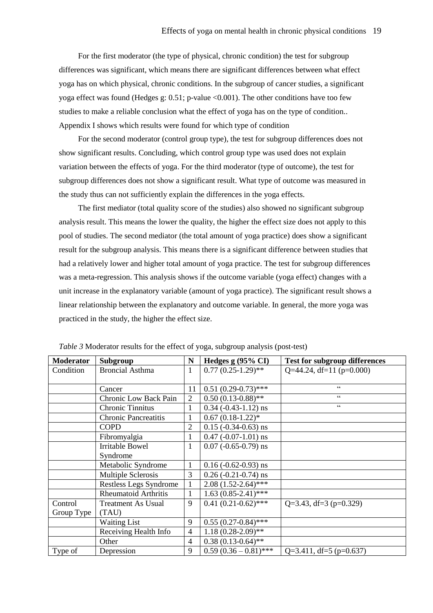For the first moderator (the type of physical, chronic condition) the test for subgroup differences was significant, which means there are significant differences between what effect yoga has on which physical, chronic conditions. In the subgroup of cancer studies, a significant yoga effect was found (Hedges g: 0.51; p-value <0.001). The other conditions have too few studies to make a reliable conclusion what the effect of yoga has on the type of condition.. Appendix I shows which results were found for which type of condition

For the second moderator (control group type), the test for subgroup differences does not show significant results. Concluding, which control group type was used does not explain variation between the effects of yoga. For the third moderator (type of outcome), the test for subgroup differences does not show a significant result. What type of outcome was measured in the study thus can not sufficiently explain the differences in the yoga effects.

The first mediator (total quality score of the studies) also showed no significant subgroup analysis result. This means the lower the quality, the higher the effect size does not apply to this pool of studies. The second mediator (the total amount of yoga practice) does show a significant result for the subgroup analysis. This means there is a significant difference between studies that had a relatively lower and higher total amount of yoga practice. The test for subgroup differences was a meta-regression. This analysis shows if the outcome variable (yoga effect) changes with a unit increase in the explanatory variable (amount of yoga practice). The significant result shows a linear relationship between the explanatory and outcome variable. In general, the more yoga was practiced in the study, the higher the effect size.

| <b>Moderator</b> | Subgroup                     | N              | Hedges $g(95\% \text{ CI})$   | <b>Test for subgroup differences</b> |
|------------------|------------------------------|----------------|-------------------------------|--------------------------------------|
| Condition        | <b>Broncial Asthma</b>       | 1              | $0.77(0.25-1.29)$ **          | Q=44.24, df=11 (p=0.000)             |
|                  |                              |                |                               |                                      |
|                  | Cancer                       | 11             | $0.51(0.29-0.73)$ ***         | C                                    |
|                  | <b>Chronic Low Back Pain</b> | $\overline{2}$ | $0.50(0.13-0.88)$ **          | $\zeta$ $\zeta$                      |
|                  | <b>Chronic Tinnitus</b>      |                | $0.34$ ( $-0.43-1.12$ ) ns    | C                                    |
|                  | <b>Chronic Pancreatitis</b>  |                | $0.67(0.18-1.22)*$            |                                      |
|                  | <b>COPD</b>                  | $\overline{2}$ | $0.15$ ( $-0.34$ $-0.63$ ) ns |                                      |
|                  | Fibromyalgia                 | 1              | $0.47$ (-0.07-1.01) ns        |                                      |
|                  | <b>Irritable Bowel</b>       | 1              | $0.07$ (-0.65-0.79) ns        |                                      |
|                  | Syndrome                     |                |                               |                                      |
|                  | Metabolic Syndrome           |                | $0.16$ (-0.62-0.93) ns        |                                      |
|                  | Multiple Sclerosis           | 3              | $0.26$ (-0.21-0.74) ns        |                                      |
|                  | Restless Legs Syndrome       | $\mathbf{1}$   | $2.08(1.52-2.64)$ ***         |                                      |
|                  | <b>Rheumatoid Arthritis</b>  |                | $1.63(0.85-2.41)$ ***         |                                      |
| Control          | <b>Treatment As Usual</b>    | 9              | $0.41(0.21-0.62)$ ***         | Q=3.43, df=3 (p=0.329)               |
| Group Type       | (TAU)                        |                |                               |                                      |
|                  | <b>Waiting List</b>          | 9              | $0.55(0.27-0.84)$ ***         |                                      |
|                  | Receiving Health Info        | $\overline{4}$ | $1.18(0.28-2.09)$ **          |                                      |
|                  | Other                        | $\overline{4}$ | $0.38(0.13-0.64)$ **          |                                      |
| Type of          | Depression                   | 9              | $0.59(0.36-0.81)$ ***         | $Q=3.411$ , df=5 (p=0.637)           |

*Table 3* Moderator results for the effect of yoga, subgroup analysis (post-test)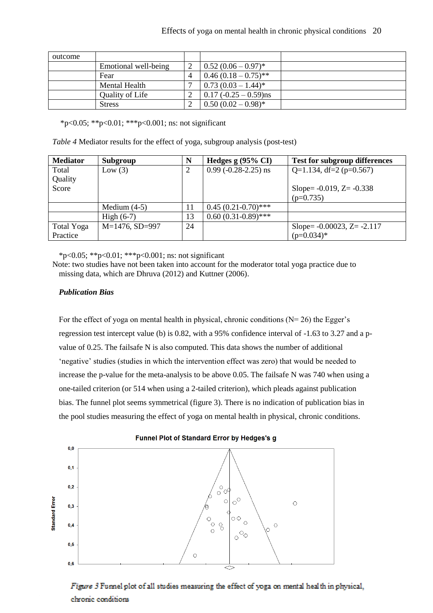| outcome |                      |   |                            |  |
|---------|----------------------|---|----------------------------|--|
|         | Emotional well-being |   | $0.52(0.06-0.97)^*$        |  |
|         | Fear                 |   | $0.46(0.18-0.75)$ **       |  |
|         | Mental Health        | − | $\mid 0.73(0.03-1.44)^{*}$ |  |
|         | Quality of Life      |   | $0.17(-0.25 - 0.59)$ ns    |  |
|         | <b>Stress</b>        | ◠ | $0.50(0.02-0.98)$ *        |  |

\*p<0.05; \*\*p<0.01; \*\*\*p<0.001; ns: not significant

*Table 4* Mediator results for the effect of yoga, subgroup analysis (post-test)

| <b>Mediator</b> | Subgroup          | N  | Hedges $g(95\% \text{ CI})$  | <b>Test for subgroup differences</b> |
|-----------------|-------------------|----|------------------------------|--------------------------------------|
| Total           | Low $(3)$         | 2  | $0.99$ ( $-0.28 - 2.25$ ) ns | Q=1.134, df=2 ( $p=0.567$ )          |
| Quality         |                   |    |                              |                                      |
| Score           |                   |    |                              | Slope = $-0.019$ , $Z = -0.338$      |
|                 |                   |    |                              | $(p=0.735)$                          |
|                 | Medium $(4-5)$    | 11 | $0.45(0.21-0.70)$ ***        |                                      |
|                 | High $(6-7)$      | 13 | $0.60(0.31-0.89)$ ***        |                                      |
| Total Yoga      | $M=1476$ , SD=997 | 24 |                              | Slope = $-0.00023$ , Z = $-2.117$    |
| Practice        |                   |    |                              | $(p=0.034)$ *                        |

\*p<0.05; \*\*p<0.01; \*\*\*p<0.001; ns: not significant

Note: two studies have not been taken into account for the moderator total yoga practice due to missing data, which are Dhruva (2012) and Kuttner (2006).

# *Publication Bias*

For the effect of yoga on mental health in physical, chronic conditions  $(N= 26)$  the Egger's regression test intercept value (b) is 0.82, with a 95% confidence interval of -1.63 to 3.27 and a pvalue of 0.25. The failsafe N is also computed. This data shows the number of additional 'negative' studies (studies in which the intervention effect was zero) that would be needed to increase the p-value for the meta-analysis to be above 0.05. The failsafe N was 740 when using a one-tailed criterion (or 514 when using a 2-tailed criterion), which pleads against publication bias. The funnel plot seems symmetrical (figure 3). There is no indication of publication bias in the pool studies measuring the effect of yoga on mental health in physical, chronic conditions.



# Figure 3 Funnel plot of all studies measuring the effect of yoga on mental health in physical, chronic conditions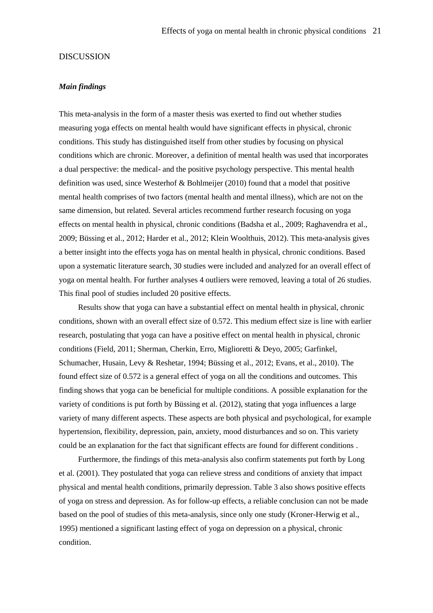#### DISCUSSION

#### *Main findings*

This meta-analysis in the form of a master thesis was exerted to find out whether studies measuring yoga effects on mental health would have significant effects in physical, chronic conditions. This study has distinguished itself from other studies by focusing on physical conditions which are chronic. Moreover, a definition of mental health was used that incorporates a dual perspective: the medical- and the positive psychology perspective. This mental health definition was used, since Westerhof & Bohlmeijer (2010) found that a model that positive mental health comprises of two factors (mental health and mental illness), which are not on the same dimension, but related. Several articles recommend further research focusing on yoga effects on mental health in physical, chronic conditions (Badsha et al., 2009; Raghavendra et al., 2009; Büssing et al., 2012; Harder et al., 2012; Klein Woolthuis, 2012). This meta-analysis gives a better insight into the effects yoga has on mental health in physical, chronic conditions. Based upon a systematic literature search, 30 studies were included and analyzed for an overall effect of yoga on mental health. For further analyses 4 outliers were removed, leaving a total of 26 studies. This final pool of studies included 20 positive effects.

Results show that yoga can have a substantial effect on mental health in physical, chronic conditions, shown with an overall effect size of 0.572. This medium effect size is line with earlier research, postulating that yoga can have a positive effect on mental health in physical, chronic conditions (Field, 2011; Sherman, Cherkin, Erro, Miglioretti & Deyo, 2005; Garfinkel, Schumacher, Husain, Levy & Reshetar, 1994; Büssing et al., 2012; Evans, et al., 2010). The found effect size of 0.572 is a general effect of yoga on all the conditions and outcomes. This finding shows that yoga can be beneficial for multiple conditions. A possible explanation for the variety of conditions is put forth by Büssing et al. (2012), stating that yoga influences a large variety of many different aspects. These aspects are both physical and psychological, for example hypertension, flexibility, depression, pain, anxiety, mood disturbances and so on. This variety could be an explanation for the fact that significant effects are found for different conditions .

Furthermore, the findings of this meta-analysis also confirm statements put forth by Long et al. (2001). They postulated that yoga can relieve stress and conditions of anxiety that impact physical and mental health conditions, primarily depression. Table 3 also shows positive effects of yoga on stress and depression. As for follow-up effects, a reliable conclusion can not be made based on the pool of studies of this meta-analysis, since only one study (Kroner-Herwig et al., 1995) mentioned a significant lasting effect of yoga on depression on a physical, chronic condition.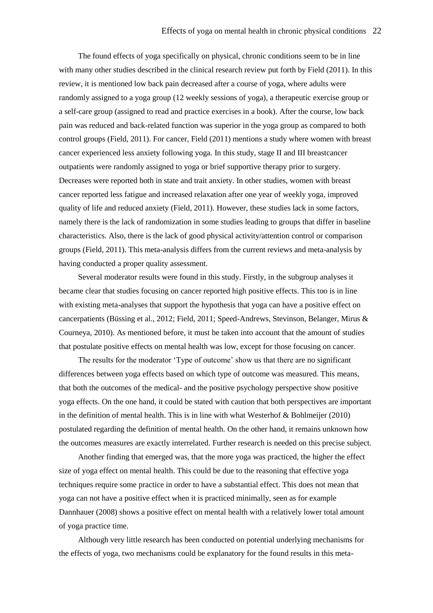The found effects of yoga specifically on physical, chronic conditions seem to be in line with many other studies described in the clinical research review put forth by Field (2011). In this review, it is mentioned low back pain decreased after a course of yoga, where adults were randomly assigned to a yoga group (12 weekly sessions of yoga), a therapeutic exercise group or a self-care group (assigned to read and practice exercises in a book). After the course, low back pain was reduced and back-related function was superior in the yoga group as compared to both control groups (Field, 2011). For cancer, Field (2011) mentions a study where women with breast cancer experienced less anxiety following yoga. In this study, stage II and III breastcancer outpatients were randomly assigned to yoga or brief supportive therapy prior to surgery. Decreases were reported both in state and trait anxiety. In other studies, women with breast cancer reported less fatigue and increased relaxation after one year of weekly yoga, improved quality of life and reduced anxiety (Field, 2011). However, these studies lack in some factors, namely there is the lack of randomization in some studies leading to groups that differ in baseline characteristics. Also, there is the lack of good physical activity/attention control or comparison groups (Field, 2011). This meta-analysis differs from the current reviews and meta-analysis by having conducted a proper quality assessment.

Several moderator results were found in this study. Firstly, in the subgroup analyses it became clear that studies focusing on cancer reported high positive effects. This too is in line with existing meta-analyses that support the hypothesis that yoga can have a positive effect on cancerpatients (Büssing et al., 2012; Field, 2011; Speed-Andrews, Stevinson, Belanger, Mirus & Courneya, 2010). As mentioned before, it must be taken into account that the amount of studies that postulate positive effects on mental health was low, except for those focusing on cancer.

The results for the moderator 'Type of outcome' show us that there are no significant differences between yoga effects based on which type of outcome was measured. This means, that both the outcomes of the medical- and the positive psychology perspective show positive yoga effects. On the one hand, it could be stated with caution that both perspectives are important in the definition of mental health. This is in line with what Westerhof  $\&$  Bohlmeijer (2010) postulated regarding the definition of mental health. On the other hand, it remains unknown how the outcomes measures are exactly interrelated. Further research is needed on this precise subject.

Another finding that emerged was, that the more yoga was practiced, the higher the effect size of yoga effect on mental health. This could be due to the reasoning that effective yoga techniques require some practice in order to have a substantial effect. This does not mean that yoga can not have a positive effect when it is practiced minimally, seen as for example Dannhauer (2008) shows a positive effect on mental health with a relatively lower total amount of yoga practice time.

Although very little research has been conducted on potential underlying mechanisms for the effects of yoga, two mechanisms could be explanatory for the found results in this meta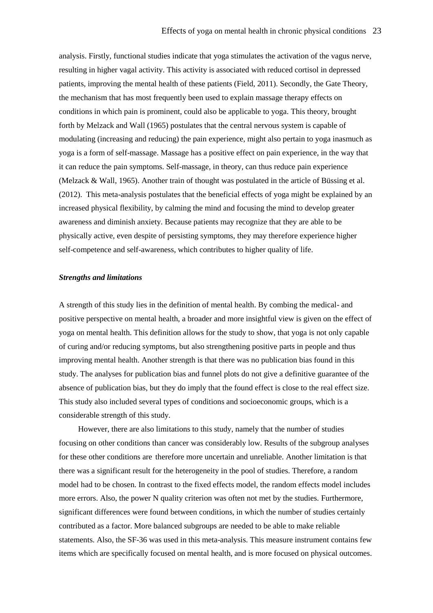analysis. Firstly, functional studies indicate that yoga stimulates the activation of the vagus nerve, resulting in higher vagal activity. This activity is associated with reduced cortisol in depressed patients, improving the mental health of these patients (Field, 2011). Secondly, the Gate Theory, the mechanism that has most frequently been used to explain massage therapy effects on conditions in which pain is prominent, could also be applicable to yoga. This theory, brought forth by Melzack and Wall (1965) postulates that the central nervous system is capable of modulating (increasing and reducing) the pain experience, might also pertain to yoga inasmuch as yoga is a form of self-massage. Massage has a positive effect on pain experience, in the way that it can reduce the pain symptoms. Self-massage, in theory, can thus reduce pain experience (Melzack & Wall, 1965). Another train of thought was postulated in the article of Büssing et al. (2012). This meta-analysis postulates that the beneficial effects of yoga might be explained by an increased physical flexibility, by calming the mind and focusing the mind to develop greater awareness and diminish anxiety. Because patients may recognize that they are able to be physically active, even despite of persisting symptoms, they may therefore experience higher self-competence and self-awareness, which contributes to higher quality of life.

#### *Strengths and limitations*

A strength of this study lies in the definition of mental health. By combing the medical- and positive perspective on mental health, a broader and more insightful view is given on the effect of yoga on mental health. This definition allows for the study to show, that yoga is not only capable of curing and/or reducing symptoms, but also strengthening positive parts in people and thus improving mental health. Another strength is that there was no publication bias found in this study. The analyses for publication bias and funnel plots do not give a definitive guarantee of the absence of publication bias, but they do imply that the found effect is close to the real effect size. This study also included several types of conditions and socioeconomic groups, which is a considerable strength of this study.

However, there are also limitations to this study, namely that the number of studies focusing on other conditions than cancer was considerably low. Results of the subgroup analyses for these other conditions are therefore more uncertain and unreliable. Another limitation is that there was a significant result for the heterogeneity in the pool of studies. Therefore, a random model had to be chosen. In contrast to the fixed effects model, the random effects model includes more errors. Also, the power N quality criterion was often not met by the studies. Furthermore, significant differences were found between conditions, in which the number of studies certainly contributed as a factor. More balanced subgroups are needed to be able to make reliable statements. Also, the SF-36 was used in this meta-analysis. This measure instrument contains few items which are specifically focused on mental health, and is more focused on physical outcomes.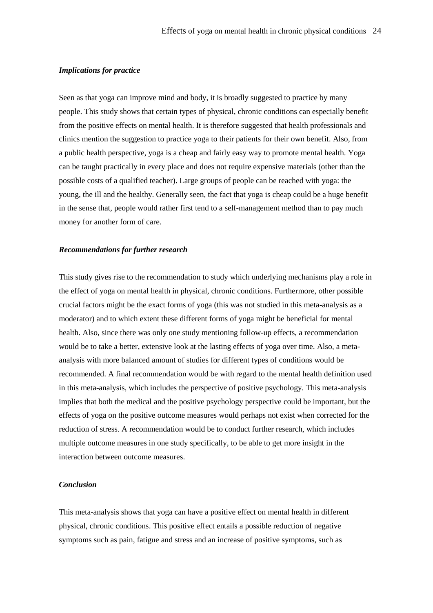# *Implications for practice*

Seen as that yoga can improve mind and body, it is broadly suggested to practice by many people. This study shows that certain types of physical, chronic conditions can especially benefit from the positive effects on mental health. It is therefore suggested that health professionals and clinics mention the suggestion to practice yoga to their patients for their own benefit. Also, from a public health perspective, yoga is a cheap and fairly easy way to promote mental health. Yoga can be taught practically in every place and does not require expensive materials (other than the possible costs of a qualified teacher). Large groups of people can be reached with yoga: the young, the ill and the healthy. Generally seen, the fact that yoga is cheap could be a huge benefit in the sense that, people would rather first tend to a self-management method than to pay much money for another form of care.

#### *Recommendations for further research*

This study gives rise to the recommendation to study which underlying mechanisms play a role in the effect of yoga on mental health in physical, chronic conditions. Furthermore, other possible crucial factors might be the exact forms of yoga (this was not studied in this meta-analysis as a moderator) and to which extent these different forms of yoga might be beneficial for mental health. Also, since there was only one study mentioning follow-up effects, a recommendation would be to take a better, extensive look at the lasting effects of yoga over time. Also, a metaanalysis with more balanced amount of studies for different types of conditions would be recommended. A final recommendation would be with regard to the mental health definition used in this meta-analysis, which includes the perspective of positive psychology. This meta-analysis implies that both the medical and the positive psychology perspective could be important, but the effects of yoga on the positive outcome measures would perhaps not exist when corrected for the reduction of stress. A recommendation would be to conduct further research, which includes multiple outcome measures in one study specifically, to be able to get more insight in the interaction between outcome measures.

# *Conclusion*

This meta-analysis shows that yoga can have a positive effect on mental health in different physical, chronic conditions. This positive effect entails a possible reduction of negative symptoms such as pain, fatigue and stress and an increase of positive symptoms, such as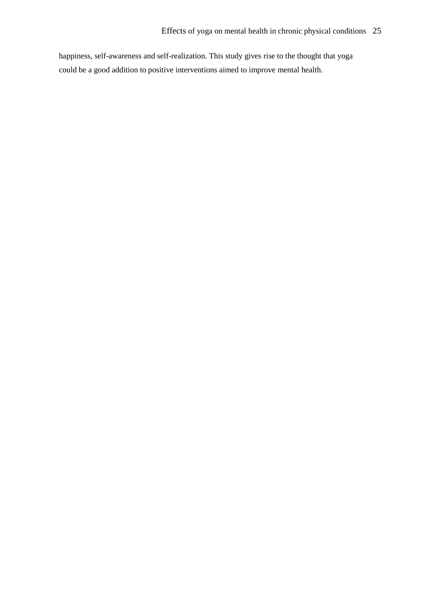happiness, self-awareness and self-realization. This study gives rise to the thought that yoga could be a good addition to positive interventions aimed to improve mental health.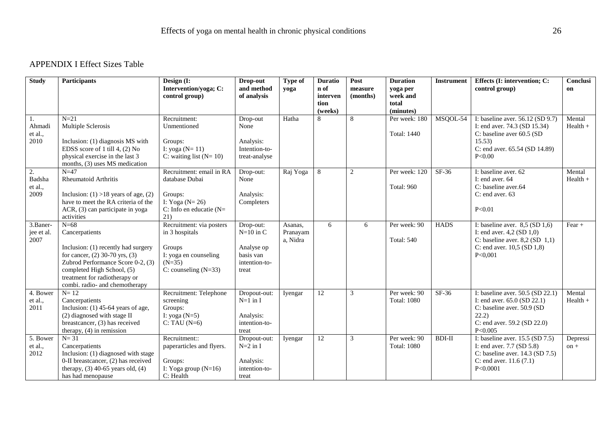# APPENDIX I Effect Sizes Table

| <b>Study</b>                    | <b>Participants</b>                                                                                                                                                                                                                         | Design (I:<br>Intervention/yoga; C:                                                                                 | Drop-out<br>and method                                                        | Type of<br>yoga                 | <b>Duratio</b><br>n of      | Post<br>measure | <b>Duration</b><br>yoga per         | <b>Instrument</b> | Effects (I: intervention; C:<br>control group)                                                                                                       | Conclusi<br>on       |
|---------------------------------|---------------------------------------------------------------------------------------------------------------------------------------------------------------------------------------------------------------------------------------------|---------------------------------------------------------------------------------------------------------------------|-------------------------------------------------------------------------------|---------------------------------|-----------------------------|-----------------|-------------------------------------|-------------------|------------------------------------------------------------------------------------------------------------------------------------------------------|----------------------|
|                                 |                                                                                                                                                                                                                                             | control group)                                                                                                      | of analysis                                                                   |                                 | interven<br>tion<br>(weeks) | (months)        | week and<br>total<br>(minutes)      |                   |                                                                                                                                                      |                      |
| 1.<br>Ahmadi<br>et al.,<br>2010 | $N=21$<br>Multiple Sclerosis<br>Inclusion: (1) diagnosis MS with<br>EDSS score of 1 till 4, (2) No<br>physical exercise in the last 3<br>months, (3) uses MS medication                                                                     | Recruitment:<br>Unmentioned<br>Groups:<br>I: yoga $(N=11)$<br>C: waiting list $(N=10)$                              | Drop-out<br>None<br>Analysis:<br>Intention-to-<br>treat-analyse               | Hatha                           | 8                           | 8               | Per week: 180<br><b>Total: 1440</b> | MSQOL-54          | I: baseline aver. 56.12 (SD 9.7)<br>I: end aver. 74.3 (SD 15.34)<br>C: baseline aver 60.5 (SD<br>15.53<br>C: end aver. 65.54 (SD 14.89)<br>P<0.00    | Mental<br>$Health +$ |
| 2.<br>Badsha<br>et al.,<br>2009 | $N=47$<br>Rheumatoid Arthritis<br>Inclusion: $(1) > 18$ years of age, $(2)$<br>have to meet the RA criteria of the<br>ACR, (3) can participate in yoga<br>activities                                                                        | Recruitment: email in RA<br>database Dubai<br>Groups:<br>I: Yoga ( $N=26$ )<br>C: Info en educatie ( $N=$<br>21)    | Drop-out:<br>None<br>Analysis:<br>Completers                                  | Raj Yoga                        | 8                           | $\mathbf{2}$    | Per week: 120<br><b>Total: 960</b>  | SF-36             | I: baseline aver. 62<br>I: end aver. 64<br>C: baseline aver.64<br>$C$ : end aver. 63<br>P < 0.01                                                     | Mental<br>$Health +$ |
| 3.Baner-<br>jee et al.<br>2007  | $N=68$<br>Cancerpatients<br>Inclusion: (1) recently had surgery<br>for cancer, $(2)$ 30-70 yrs, $(3)$<br>Zubrod Performance Score 0-2, (3)<br>completed High School, (5)<br>treatment for radiotherapy or<br>combi. radio- and chemotherapy | Recruitment: via posters<br>in 3 hospitals<br>Groups<br>I: yoga en counseling<br>$(N=35)$<br>C: counseling $(N=33)$ | Drop-out:<br>$N=10$ in C<br>Analyse op<br>basis van<br>intention-to-<br>treat | Asanas,<br>Pranayam<br>a, Nidra | 6                           | 6               | Per week: 90<br><b>Total: 540</b>   | <b>HADS</b>       | I: baseline aver. $8,5$ (SD 1,6)<br>I: end aver. $4,2$ (SD $1,0$ )<br>C: baseline aver. $8,2$ (SD 1,1)<br>C: end aver. $10,5$ (SD $1,8$ )<br>P<0,001 | Fear $+$             |
| 4. Bower<br>et al.,<br>2011     | $N=12$<br>Cancerpatients<br>Inclusion: $(1)$ 45-64 years of age,<br>(2) diagnosed with stage II<br>breastcancer, (3) has received<br>therapy, $(4)$ in remission                                                                            | Recruitment: Telephone<br>screening<br>Groups:<br>I: yoga $(N=5)$<br>$C: TAU(N=6)$                                  | Dropout-out:<br>$N=1$ in I<br>Analysis:<br>intention-to-<br>treat             | Iyengar                         | $\overline{12}$             | 3               | Per week: 90<br><b>Total: 1080</b>  | SF-36             | I: baseline aver. 50.5 (SD 22.1)<br>I: end aver. $65.0$ (SD 22.1)<br>C: baseline aver. 50.9 (SD<br>22.2)<br>C: end aver. 59.2 (SD 22.0)<br>P < 0.005 | Mental<br>$Health +$ |
| 5. Bower<br>et al.,<br>2012     | $N = 31$<br>Cancerpatients<br>Inclusion: (1) diagnosed with stage<br>0-II breastcancer, (2) has received<br>therapy, $(3)$ 40-65 years old, $(4)$<br>has had menopause                                                                      | Recruitment::<br>paperarticles and flyers.<br>Groups:<br>I: Yoga group $(N=16)$<br>C: Health                        | Dropout-out:<br>$N=2$ in I<br>Analysis:<br>intention-to-<br>treat             | Iyengar                         | 12                          | 3               | Per week: 90<br><b>Total: 1080</b>  | <b>BDI-II</b>     | I: baseline aver. 15.5 (SD 7.5)<br>I: end aver. 7.7 (SD 5.8)<br>C: baseline aver. 14.3 (SD 7.5)<br>C: end aver. $11.6(7.1)$<br>P<0.0001              | Depressi<br>$on +$   |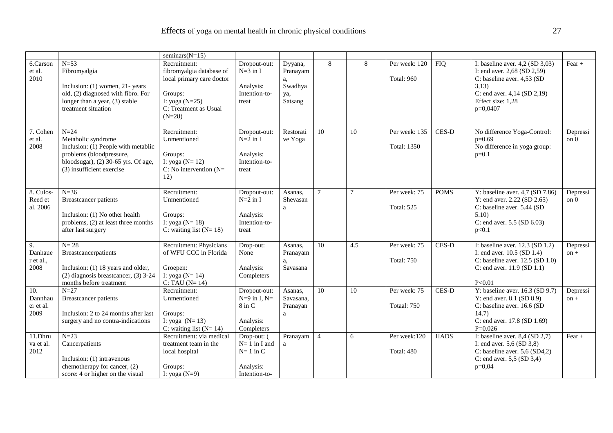|                                     |                                                                                                                                                                     | seminars $(N=15)$                                                                                                                         |                                                                           |                                                        |                 |     |                                     |              |                                                                                                                                                                                    |                    |
|-------------------------------------|---------------------------------------------------------------------------------------------------------------------------------------------------------------------|-------------------------------------------------------------------------------------------------------------------------------------------|---------------------------------------------------------------------------|--------------------------------------------------------|-----------------|-----|-------------------------------------|--------------|------------------------------------------------------------------------------------------------------------------------------------------------------------------------------------|--------------------|
| 6.Carson<br>et al.<br>2010          | $N=53$<br>Fibromyalgia<br>Inclusion: (1) women, 21- years<br>old, (2) diagnosed with fibro. For<br>longer than a year, (3) stable<br>treatment situation            | Recruitment:<br>fibromyalgia database of<br>local primary care doctor<br>Groups:<br>I: yoga $(N=25)$<br>C: Treatment as Usual<br>$(N=28)$ | Dropout-out:<br>$N=3$ in I<br>Analysis:<br>Intention-to-<br>treat         | Dyyana,<br>Pranayam<br>a,<br>Swadhya<br>ya,<br>Satsang | 8               | 8   | Per week: 120<br><b>Total: 960</b>  | <b>FIQ</b>   | I: baseline aver. $4,2$ (SD $3,03$ )<br>I: end aver. $2,68$ (SD $2,59$ )<br>C: baseline aver. 4,53 (SD)<br>3,13)<br>C: end aver. 4,14 (SD 2,19)<br>Effect size: 1,28<br>$p=0,0407$ | Fear $+$           |
| 7. Cohen<br>et al.<br>2008          | $N=24$<br>Metabolic syndrome<br>Inclusion: (1) People with metablic<br>problems (bloodpressure,<br>bloodsugar), (2) 30-65 yrs. Of age,<br>(3) insufficient exercise | Recruitment:<br>Unmentioned<br>Groups:<br>I: yoga ( $N=12$ )<br>$C: No$ intervention (N=<br>12)                                           | Dropout-out:<br>$N=2$ in I<br>Analysis:<br>Intention-to-<br>treat         | Restorati<br>ve Yoga                                   | 10              | 10  | Per week: 135<br><b>Total: 1350</b> | CES-D        | No difference Yoga-Control:<br>$p=0.69$<br>No difference in yoga group:<br>$p=0.1$                                                                                                 | Depressi<br>on 0   |
| 8. Culos-<br>Reed et<br>al. 2006    | $N = 36$<br><b>Breastcancer patients</b><br>Inclusion: (1) No other health<br>problems, (2) at least three months<br>after last surgery                             | Recruitment:<br>Unmentioned<br>Groups:<br>I: yoga ( $N = 18$ )<br>C: waiting list $(N=18)$                                                | Dropout-out:<br>$N=2$ in I<br>Analysis:<br>Intention-to-<br>treat         | Asanas.<br>Shevasan<br>a                               | $\overline{7}$  |     | Per week: 75<br><b>Total: 525</b>   | <b>POMS</b>  | Y: baseline aver. $4,7$ (SD $7.86$ )<br>Y: end aver. 2.22 (SD 2.65)<br>C: baseline aver. 5.44 (SD<br>5.10<br>C: end aver. 5.5 (SD 6.03)<br>p<0.1                                   | Depressi<br>on 0   |
| 9.<br>Danhaue<br>r et al.,<br>2008  | $N = 28$<br>Breastcancerpatients<br>Inclusion: (1) 18 years and older,<br>$(2)$ diagnosis breastcancer, $(3)$ 3-24<br>months before treatment                       | Recruitment: Physicians<br>of WFU CCC in Florida<br>Groepen:<br>I: yoga ( $N = 14$ )<br>$C: TAU (N=14)$                                   | Drop-out:<br>None<br>Analysis:<br>Completers                              | Asanas.<br>Pranayam<br>a,<br>Savasana                  | 10              | 4.5 | Per week: 75<br><b>Total: 750</b>   | CES-D        | I: baseline aver. 12.3 (SD 1.2)<br>I: end aver. 10.5 (SD 1.4)<br>C: baseline aver. $12.5$ (SD $1.0$ )<br>C: end aver. 11.9 (SD 1.1)<br>P < 0.01                                    | Depressi<br>$on +$ |
| 10.<br>Dannhau<br>er et al.<br>2009 | $N=27$<br>Breastcancer patients<br>Inclusion: 2 to 24 months after last<br>surgery and no contra-indications                                                        | Recruitment:<br>Unmentioned<br>Groups:<br>I: yoga $(N=13)$<br>C: waiting list $(N=14)$                                                    | Dropout-out:<br>$N=9$ in I, $N=$<br>$8$ in $C$<br>Analysis:<br>Completers | Asanas,<br>Savasana,<br>Pranayan<br>a                  | 10 <sup>1</sup> | 10  | Per week: 75<br>Totaal: 750         | <b>CES-D</b> | Y: baseline aver. $16.3$ (SD 9.7)<br>Y: end aver. $8.1$ (SD $8.9$ )<br>C: baseline aver. 16.6 (SD<br>14.7)<br>C: end aver. 17.8 (SD 1.69)<br>$P=0.026$                             | Depressi<br>$on +$ |
| 11.Dhru<br>va et al.<br>2012        | $N=23$<br>Cancerpatients<br>Inclusion: (1) intravenous<br>chemotherapy for cancer, (2)<br>score: 4 or higher on the visual                                          | Recruitment: via medical<br>treatment team in the<br>local hospital<br>Groups:<br>I: yoga $(N=9)$                                         | Drop-out: (<br>$N=1$ in I and<br>$N=1$ in C<br>Analysis:<br>Intention-to- | Pranayam<br>$\mathbf{a}$                               | $\overline{4}$  | 6   | Per week:120<br>Total: 480          | <b>HADS</b>  | I: baseline aver. $8,4$ (SD 2,7)<br>I: end aver. $5,6$ (SD $3,8$ )<br>C: baseline aver. $5,6$ (SD4,2)<br>C: end aver. $5,5$ (SD $3,4$ )<br>$p=0,04$                                | Fear $+$           |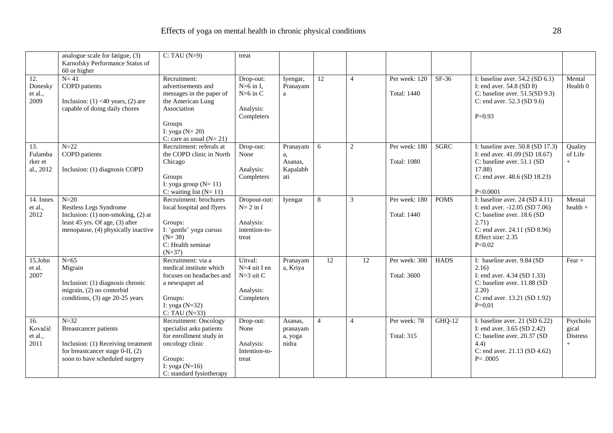|                                                      | analogue scale for fatigue, (3)<br>Karnofsky Performance Status of<br>60 or higher                                                                  | $C: TAU(N=9)$                                                                                                                                                 | treat                                                             |                                              |                |                |                                     |             |                                                                                                                                                                           |                                             |
|------------------------------------------------------|-----------------------------------------------------------------------------------------------------------------------------------------------------|---------------------------------------------------------------------------------------------------------------------------------------------------------------|-------------------------------------------------------------------|----------------------------------------------|----------------|----------------|-------------------------------------|-------------|---------------------------------------------------------------------------------------------------------------------------------------------------------------------------|---------------------------------------------|
| 12.<br>Donesky<br>et al.,<br>2009                    | $N=41$<br><b>COPD</b> patients<br>Inclusion: $(1)$ <40 years, $(2)$ are<br>capable of doing daily chores                                            | Recruitment:<br>advertisements and<br>messages in the paper of<br>the American Lung<br>Association<br>Groups<br>I: yoga $(N=20)$<br>C: care as usual $(N=21)$ | Drop-out:<br>$N=6$ in I,<br>$N=6$ in C<br>Analysis:<br>Completers | Iyengar,<br>Pranayam<br>a                    | 12             | $\overline{4}$ | Per week: 120<br><b>Total: 1440</b> | $SF-36$     | I: baseline aver. $54.2$ (SD $6.1$ )<br>I: end aver. $54.8$ (SD 8)<br>C: baseline aver. $51.5(SD 9.3)$<br>C: end aver. 52.3 (SD 9.6)<br>$P=0.93$                          | Mental<br>Health 0                          |
| $\overline{13}$ .<br>Fulamba<br>rker et<br>al., 2012 | $N=22$<br><b>COPD</b> patients<br>Inclusion: (1) diagnosis COPD                                                                                     | Recruitment: referals at<br>the COPD clinic in North<br>Chicago<br>Groups<br>I: yoga group $(N=11)$<br>C: waiting list $(N=11)$                               | Drop-out:<br>None<br>Analysis:<br>Completers                      | Pranayam<br>a,<br>Asanas,<br>Kapalabh<br>ati | 6              | $\sqrt{2}$     | Per week: 180<br><b>Total: 1080</b> | <b>SGRC</b> | I: baseline aver. 50.8 (SD 17.3)<br>I: end aver. $41.09$ (SD $18.67$ )<br>C: baseline aver. 51.1 (SD<br>17.88)<br>C: end aver. 48.6 (SD 18.23)<br>P < 0.0001              | Quality<br>of Life<br>$+$                   |
| 14. Innes<br>et al.,<br>2012                         | $N=20$<br>Restless Legs Syndrome<br>Inclusion: $(1)$ non-smoking, $(2)$ at<br>least 45 yrs. Of age, (3) after<br>menopause, (4) physically inactive | Recruitment: brochures<br>local hospital and flyers<br>Groups:<br>I: 'gentle' yoga cursus<br>$(N=38)$<br>C: Health seminar<br>$(N=37)$                        | Dropout-out:<br>$N=2$ in I<br>Analysis:<br>intention-to-<br>treat | Iyengar                                      | 8              | 3              | Per week: 180<br>Total: 1440        | <b>POMS</b> | I: baseline aver. $24 (SD 4.11)$<br>I: end aver. -12.05 (SD 7.06)<br>C: baseline aver. 18.6 (SD<br>2.71)<br>C: end aver. 24.11 (SD 8.96)<br>Effect size: 2.35<br>P < 0.02 | Mental<br>$health +$                        |
| 15.John<br>et al.<br>2007                            | $N=65$<br>Migrain<br>Inclusion: (1) diagnosis chronic<br>migrain, (2) no comorbid<br>conditions, (3) age 20-25 years                                | Recruitment: via a<br>medical institute which<br>focuses on headaches and<br>a newspaper ad<br>Groups:<br>I: yoga $(N=32)$<br>$C: TAU(N=33)$                  | Uitval:<br>N=4 uit I en<br>$N=3$ uit C<br>Analysis:<br>Completers | Pranayam<br>a, Kriya                         | 12             | 12             | Per week: 300<br><b>Total: 3600</b> | <b>HADS</b> | I: baseline aver. 9.84 (SD<br>2.16)<br>I: end aver. 4.34 (SD 1.33)<br>C: baseline aver. 11.88 (SD<br>2.20)<br>C: end aver. 13.21 (SD 1.92)<br>$P=0,01$                    | $\overline{F}ear +$                         |
| 16.<br>Kovačič<br>et al.,<br>2011                    | $N=32$<br><b>Breastcancer patients</b><br>Inclusion: (1) Receiving treatment<br>for breastcancer stage 0-II, (2)<br>soon to have scheduled surgery  | Recruitment: Oncology<br>specialist asks patients<br>for enrollment study in<br>oncology clinic<br>Groups:<br>I: yoga $(N=16)$<br>C: standard fysiotherapy    | Drop-out:<br>None<br>Analysis:<br>Intention-to-<br>treat          | Asanas.<br>pranayam<br>a, yoga<br>nidra      | $\overline{4}$ | $\overline{4}$ | Per week: 78<br><b>Total: 315</b>   | $GHQ-12$    | I: baseline aver. $21$ (SD 6.22)<br>I: end aver. 3.65 (SD 2.42)<br>C: baseline aver. 20.37 (SD<br>(4.4)<br>C: end aver. 21.13 (SD 4.62)<br>$P = .0005$                    | Psycholo<br>gical<br><b>Distress</b><br>$+$ |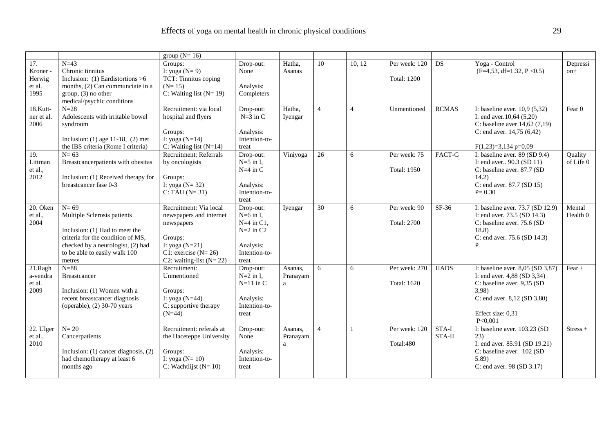|                                             |                                                                                                                                                                                              | group $(N=16)$                                                                                                                                       |                                                                                                            |                          |                |                |                                     |                 |                                                                                                                                                                                  |                      |
|---------------------------------------------|----------------------------------------------------------------------------------------------------------------------------------------------------------------------------------------------|------------------------------------------------------------------------------------------------------------------------------------------------------|------------------------------------------------------------------------------------------------------------|--------------------------|----------------|----------------|-------------------------------------|-----------------|----------------------------------------------------------------------------------------------------------------------------------------------------------------------------------|----------------------|
| 17.<br>Kroner -<br>Herwig<br>et al.<br>1995 | $N=43$<br>Chronic tinnitus<br>Inclusion: $(1)$ Eardistortions >6<br>months, (2) Can communciate in a<br>$group, (3)$ no other<br>medical/psychic conditions                                  | Groups:<br>I: yoga $(N=9)$<br>TCT: Tinnitus coping<br>$(N=15)$<br>C: Waiting list $(N=19)$                                                           | Drop-out:<br>None<br>Analysis:<br>Completers                                                               | Hatha.<br>Asanas         | 10             | 10, 12         | Per week: 120<br><b>Total: 1200</b> | <b>DS</b>       | Yoga - Control<br>$(F=4,53, df=1.32, P<0.5)$                                                                                                                                     | Depressi<br>on+      |
| 18.Kutt-<br>ner et al.<br>2006              | $N=28$<br>Adolescents with irritable bowel<br>syndroom<br>Inclusion: $(1)$ age 11-18, $(2)$ met<br>the IBS criteria (Rome I criteria)                                                        | Recruitment: via local<br>hospital and flyers<br>Groups:<br>I: yoga $(N=14)$<br>C: Waiting list $(N=14)$                                             | Drop-out:<br>$N=3$ in C<br>Analysis:<br>Intention-to-<br>treat                                             | Hatha,<br>Iyengar        | $\overline{4}$ | $\overline{4}$ | Unmentioned                         | <b>RCMAS</b>    | I: baseline aver. $10,9(5,32)$<br>I: end aver. $10,64$ (5,20)<br>C: baseline aver. $14,62$ (7,19)<br>C: end aver. $14,75$ (6,42)<br>$F(1,23)=3,134 p=0,09$                       | Fear $0$             |
| 19.<br>Littman<br>et al.,<br>2012           | $N=63$<br>Breastcancerpatients with obesitas<br>Inclusion: (1) Received therapy for<br>breastcancer fase 0-3                                                                                 | <b>Recruitment: Referrals</b><br>by oncologists<br>Groups:<br>I: yoga ( $N = 32$ )<br>$C: TAU (N=31)$                                                | Drop-out:<br>$N=5$ in I.<br>$N=4$ in C<br>Analysis:<br>Intention-to-<br>treat                              | Viniyoga                 | 26             | 6              | Per week: 75<br><b>Total: 1950</b>  | FACT-G          | I: baseline aver. $89(SD 9.4)$<br>I: end aver 90.3 (SD 11)<br>C: baseline aver. 87.7 (SD<br>14.2)<br>C: end aver. 87.7 (SD 15)<br>$P = 0.30$                                     | Quality<br>of Life 0 |
| 20. Oken<br>et al.,<br>2004                 | $N=69$<br>Multiple Sclerosis patients<br>Inclusion: (1) Had to meet the<br>criteria for the condition of MS,<br>checked by a neurologist, (2) had<br>to be able to easily walk 100<br>metres | Recruitment: Via local<br>newspapers and internet<br>newspapers<br>Groups:<br>I: yoga $(N=21)$<br>C1: exercise $(N=26)$<br>C2: waiting-list $(N=22)$ | Drop-out:<br>$N=6$ in I.<br>$N=4$ in C1.<br>$N=2$ in C <sub>2</sub><br>Analysis:<br>Intention-to-<br>treat | Iyengar                  | 30             | 6              | Per week: 90<br><b>Total: 2700</b>  | $SF-36$         | I: baseline aver. 73.7 (SD 12.9)<br>I: end aver. 73.5 (SD 14.3)<br>C: baseline aver. 75.6 (SD)<br>18.8)<br>C: end aver. 75.6 (SD 14.3)<br>$\mathbf{p}$                           | Mental<br>Health 0   |
| 21.Ragh<br>a-vendra<br>et al.<br>2009       | $N = 88$<br>Breastcancer<br>Inclusion: (1) Women with a<br>recent breastcancer diagnosis<br>(operable), (2) 30-70 years                                                                      | Recruitment:<br>Unmentioned<br>Groups:<br>I: yoga ( $N=44$ )<br>C: supportive therapy<br>$(N=44)$                                                    | Drop-out:<br>$N=2$ in I.<br>$N=11$ in C<br>Analysis:<br>Intention-to-<br>treat                             | Asanas,<br>Pranayam<br>a | 6              | 6              | Per week: 270<br><b>Total: 1620</b> | <b>HADS</b>     | I: baseline aver. $8,05$ (SD $3,87$ )<br>I: end aver. 4,88 (SD 3,34)<br>C: baseline aver. 9,35 (SD<br>3,98<br>C: end aver. $8,12$ (SD $3,80$ )<br>Effect size: 0,31<br>P < 0,001 | $Fear +$             |
| 22. Ülger<br>et al.,<br>2010                | $N=20$<br>Cancerpatients<br>Inclusion: $(1)$ cancer diagnosis, $(2)$<br>had chemotherapy at least 6<br>months ago                                                                            | Recruitment: referals at<br>the Haceteppe University<br>Groups:<br>I: yoga ( $N=10$ )<br>C: Wachtlijst $(N=10)$                                      | Drop-out:<br>None<br>Analysis:<br>Intention-to-<br>treat                                                   | Asanas,<br>Pranayam<br>a | $\overline{4}$ | $\overline{1}$ | Per week: 120<br>Total:480          | STA-I<br>STA-II | I: baseline aver. 103.23 (SD<br>23)<br>I: end aver. 85.91 (SD 19.21)<br>C: baseline aver. 102 (SD<br>5.89<br>C: end aver. 98 (SD 3.17)                                           | $Stress +$           |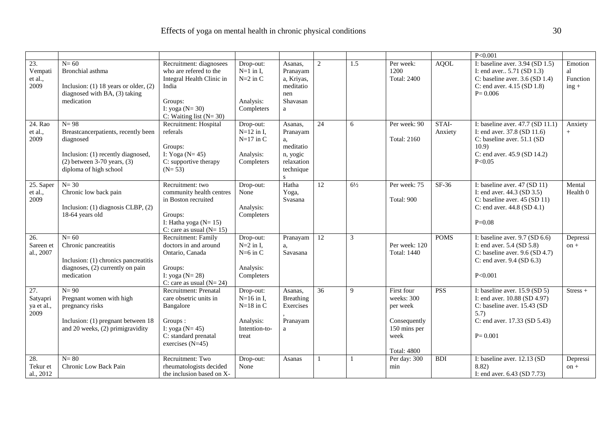|                                             |                                                                                                                                                               |                                                                                                                                                        |                                                                                 |                                                                                               |                 |                |                                                                                                    |                  | P < 0.001                                                                                                                                             |                                      |
|---------------------------------------------|---------------------------------------------------------------------------------------------------------------------------------------------------------------|--------------------------------------------------------------------------------------------------------------------------------------------------------|---------------------------------------------------------------------------------|-----------------------------------------------------------------------------------------------|-----------------|----------------|----------------------------------------------------------------------------------------------------|------------------|-------------------------------------------------------------------------------------------------------------------------------------------------------|--------------------------------------|
| 23.<br>Vempati<br>et al.,<br>2009           | $N=60$<br>Bronchial asthma<br>Inclusion: $(1)$ 18 years or older, $(2)$<br>diagnosed with BA, (3) taking<br>medication                                        | Recruitment: diagnosees<br>who are refered to the<br>Integral Health Clinic in<br>India<br>Groups:<br>I: yoga ( $N = 30$ )<br>C: Waiting list $(N=30)$ | Drop-out:<br>$N=1$ in I,<br>$N=2$ in C<br>Analysis:<br>Completers               | Asanas,<br>Pranayam<br>a, Kriyas,<br>meditatio<br>nen<br>Shavasan<br>a                        | 2               | 1.5            | Per week:<br>1200<br><b>Total: 2400</b>                                                            | <b>AQOL</b>      | I: baseline aver. $3.94$ (SD 1.5)<br>I: end aver $5.71$ (SD 1.3)<br>C: baseline aver. $3.6$ (SD 1.4)<br>C: end aver. 4.15 (SD 1.8)<br>$P = 0.006$     | Emotion<br>al<br>Function<br>$ing +$ |
| 24. Rao<br>et al.,<br>2009                  | $N=98$<br>Breastcancerpatients, recently been<br>diagnosed<br>Inclusion: (1) recently diagnosed,<br>$(2)$ between 3-70 years, $(3)$<br>diploma of high school | Recruitment: Hospital<br>referals<br>Groups:<br>I: Yoga ( $N=45$ )<br>C: supportive therapy<br>$(N=53)$                                                | Drop-out:<br>$N=12$ in I,<br>$N=17$ in C<br>Analysis:<br>Completers             | Asanas.<br>Pranayam<br>a,<br>meditatio<br>n, yogic<br>relaxation<br>technique<br>$\mathbf{s}$ | 24              | 6              | Per week: 90<br><b>Total: 2160</b>                                                                 | STAI-<br>Anxiety | I: baseline aver. 47.7 (SD 11.1)<br>I: end aver. 37.8 (SD 11.6)<br>C: baseline aver. 51.1 (SD<br>10.9<br>C: end aver. 45.9 (SD 14.2)<br>P < 0.05      | Anxiety<br>$+$                       |
| 25. Saper<br>et al.,<br>2009                | $N = 30$<br>Chronic low back pain<br>Inclusion: (1) diagnosis CLBP, (2)<br>18-64 years old                                                                    | Recruitment: two<br>community health centres<br>in Boston recruited<br>Groups:<br>I: Hatha yoga ( $N = 15$ )<br>C: care as usual $(N=15)$              | Drop-out:<br>None<br>Analysis:<br>Completers                                    | Hatha<br>Yoga,<br>Svasana                                                                     | $\overline{12}$ | $6\frac{1}{2}$ | Per week: 75<br>Total: 900                                                                         | SF-36            | I: baseline aver. $47 (SD 11)$<br>I: end aver. $44.3$ (SD $3.5$ )<br>C: baseline aver. 45 (SD 11)<br>C: end aver. $44.8$ (SD $4.1$ )<br>$P = 0.08$    | Mental<br>Health <sub>0</sub>        |
| $\overline{26}$ .<br>Sareen et<br>al., 2007 | $N=60$<br>Chronic pancreatitis<br>Inclusion: (1) chronics pancreatitis<br>diagnoses, (2) currently on pain<br>medication                                      | Recruitment: Family<br>doctors in and around<br>Ontario, Canada<br>Groups:<br>I: yoga $(N=28)$<br>C: care as usual $(N=24)$                            | Drop-out:<br>$N=2$ in I.<br>$N=6$ in C<br>Analysis:<br>Completers               | Pranayam<br>a,<br>Savasana                                                                    | 12              | $\overline{3}$ | Per week: 120<br><b>Total: 1440</b>                                                                | <b>POMS</b>      | I: baseline aver. $9.7$ (SD $6.6$ )<br>I: end aver. $5.4$ (SD $5.8$ )<br>C: baseline aver. $9.6$ (SD 4.7)<br>C: end aver. 9.4 (SD 6.3)<br>P<0.001     | Depressi<br>$on +$                   |
| 27.<br>Satyapri<br>ya et al.,<br>2009       | $N=90$<br>Pregnant women with high<br>pregnancy risks<br>Inclusion: (1) pregnant between 18<br>and 20 weeks, (2) primigravidity                               | <b>Recruitment: Prenatal</b><br>care obsetric units in<br>Bangalore<br>Groups:<br>I: yoga ( $N = 45$ )<br>C: standard prenatal<br>exercises $(N=45)$   | Drop-out:<br>$N=16$ in I,<br>$N=18$ in C<br>Analysis:<br>Intention-to-<br>treat | Asanas,<br>Breathing<br>Exercises<br>Pranayam<br>a                                            | 36              | 9              | First four<br>weeks: 300<br>per week<br>Consequently<br>150 mins per<br>week<br><b>Total: 4800</b> | <b>PSS</b>       | I: baseline aver. $15.9$ (SD 5)<br>I: end aver. 10.88 (SD 4.97)<br>C: baseline aver. 15.43 (SD<br>5.7)<br>C: end aver. 17.33 (SD 5.43)<br>$P = 0.001$ | $Stress +$                           |
| 28.<br>Tekur et<br>al., 2012                | $N = 80$<br>Chronic Low Back Pain                                                                                                                             | Recruitment: Two<br>rheumatologists decided<br>the inclusion based on X-                                                                               | Drop-out:<br>None                                                               | Asanas                                                                                        | $\mathbf{1}$    |                | Per day: 300<br>min                                                                                | <b>BDI</b>       | I: baseline aver. 12.13 (SD<br>8.82)<br>I: end aver. 6.43 (SD 7.73)                                                                                   | Depressi<br>$on +$                   |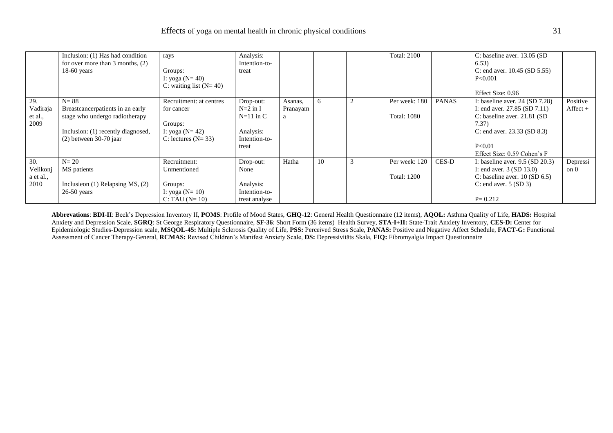|                     | Inclusion: (1) Has had condition<br>for over more than $3$ months, $(2)$<br>$18-60$ years | rays<br>Groups:<br>I: yoga $(N = 40)$<br>C: waiting list $(N=40)$ | Analysis:<br>Intention-to-<br>treat |               |    |   | <b>Total: 2100</b> |              | C: baseline aver. 13.05 (SD)<br>6.53)<br>C: end aver. $10.45$ (SD $5.55$ )<br>P<0.001<br>Effect Size: 0.96 |                         |
|---------------------|-------------------------------------------------------------------------------------------|-------------------------------------------------------------------|-------------------------------------|---------------|----|---|--------------------|--------------|------------------------------------------------------------------------------------------------------------|-------------------------|
| 29.                 | $N = 88$                                                                                  | Recruitment: at centres                                           | Drop-out:<br>$N=2$ in I             | Asanas,       | 6  | ာ | Per week: 180      | <b>PANAS</b> | I: baseline aver. $24 (SD 7.28)$                                                                           | Positive<br>$Afteret +$ |
| Vadiraja<br>et al., | Breastcancerpatients in an early<br>stage who undergo radiotherapy                        | for cancer                                                        | $N=11$ in C                         | Pranayam<br>a |    |   | <b>Total: 1080</b> |              | I: end aver. $27.85$ (SD $7.11$ )<br>C: baseline aver. $21.81$ (SD)                                        |                         |
| 2009                |                                                                                           | Groups:                                                           |                                     |               |    |   |                    |              | 7.37)                                                                                                      |                         |
|                     | Inclusion: (1) recently diagnosed,                                                        | I: yoga ( $N = 42$ )                                              | Analysis:                           |               |    |   |                    |              | C: end aver. $23.33$ (SD $8.3$ )                                                                           |                         |
|                     | $(2)$ between 30-70 jaar                                                                  | C: lectures $(N=33)$                                              | Intention-to-                       |               |    |   |                    |              |                                                                                                            |                         |
|                     |                                                                                           |                                                                   | treat                               |               |    |   |                    |              | P<0.01<br>Effect Size: 0.59 Cohen's F                                                                      |                         |
| 30.                 | $N=20$                                                                                    | Recruitment:                                                      |                                     | Hatha         | 10 |   | Per week: 120      | <b>CES-D</b> |                                                                                                            |                         |
| Velikonj            | MS patients                                                                               | Unmentioned                                                       | Drop-out:<br>None                   |               |    |   |                    |              | I: baseline aver. $9.5$ (SD 20.3)<br>I: end aver. $3 (SD 13.0)$                                            | Depressi<br>on 0        |
| a et al.,           |                                                                                           |                                                                   |                                     |               |    |   | <b>Total: 1200</b> |              | C: baseline aver. $10 (SD 6.5)$                                                                            |                         |
| 2010                | Inclusies (1) Relapsing MS, $(2)$                                                         | Groups:                                                           | Analysis:                           |               |    |   |                    |              | C: end aver. $5 (SD 3)$                                                                                    |                         |
|                     | $26-50$ years                                                                             | I: yoga ( $N = 10$ )                                              | Intention-to-                       |               |    |   |                    |              |                                                                                                            |                         |
|                     |                                                                                           | $C: TAU (N=10)$                                                   | treat analyse                       |               |    |   |                    |              | $P = 0.212$                                                                                                |                         |

**Abbrevations**: **BDI-II**: Beck's Depression Inventory II, **POMS**: Profile of Mood States, **GHQ-12**: General Health Questionnaire (12 items), **AQOL:** Asthma Quality of Life, **HADS:** Hospital Anxiety and Depression Scale, **SGRQ**: St George Respiratory Questionnaire, **SF-36**: Short Form (36 items) Health Survey, **STA-I+II:** State-Trait Anxiety Inventory, **CES-D:** Center for Epidemiologic Studies-Depression scale, **MSQOL-45:** Multiple Sclerosis Quality of Life, **PSS:** Perceived Stress Scale, **PANAS:** Positive and Negative Affect Schedule, **FACT-G:** Functional Assessment of Cancer Therapy-General, **RCMAS:** Revised Children's Manifest Anxiety Scale, **DS:** Depressivitäts Skala, **FIQ:** Fibromyalgia Impact Questionnaire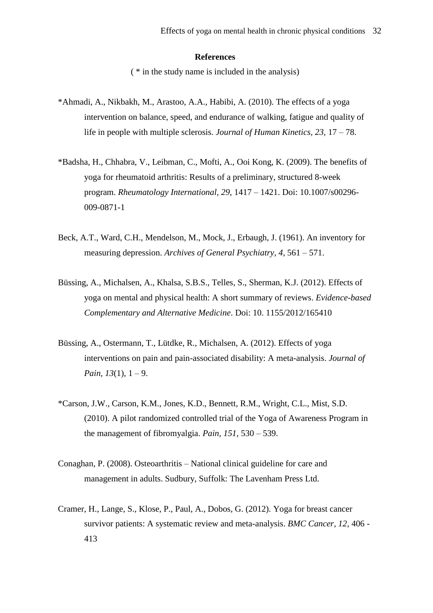# **References**

( \* in the study name is included in the analysis)

- \*Ahmadi, A., Nikbakh, M., Arastoo, A.A., Habibi, A. (2010). The effects of a yoga intervention on balance, speed, and endurance of walking, fatigue and quality of life in people with multiple sclerosis. *Journal of Human Kinetics, 23,* 17 – 78.
- \*Badsha, H., Chhabra, V., Leibman, C., Mofti, A., Ooi Kong, K. (2009). The benefits of yoga for rheumatoid arthritis: Results of a preliminary, structured 8-week program. *Rheumatology International, 29,* 1417 – 1421. Doi: 10.1007/s00296- 009-0871-1
- Beck, A.T., Ward, C.H., Mendelson, M., Mock, J., Erbaugh, J. (1961). An inventory for measuring depression. *Archives of General Psychiatry, 4,* 561 – 571.
- Büssing, A., Michalsen, A., Khalsa, S.B.S., Telles, S., Sherman, K.J. (2012). Effects of yoga on mental and physical health: A short summary of reviews. *Evidence-based Complementary and Alternative Medicine*. Doi: 10. 1155/2012/165410
- Büssing, A., Ostermann, T., Lütdke, R., Michalsen, A. (2012). Effects of yoga interventions on pain and pain-associated disability: A meta-analysis. *Journal of Pain, 13*(1)*,* 1 – 9.
- \*Carson, J.W., Carson, K.M., Jones, K.D., Bennett, R.M., Wright, C.L., Mist, S.D. (2010). A pilot randomized controlled trial of the Yoga of Awareness Program in the management of fibromyalgia. *Pain, 151,* 530 – 539.
- Conaghan, P. (2008). Osteoarthritis National clinical guideline for care and management in adults. Sudbury, Suffolk: The Lavenham Press Ltd.
- Cramer, H., Lange, S., Klose, P., Paul, A., Dobos, G. (2012). Yoga for breast cancer survivor patients: A systematic review and meta-analysis. *BMC Cancer, 12,* 406 - 413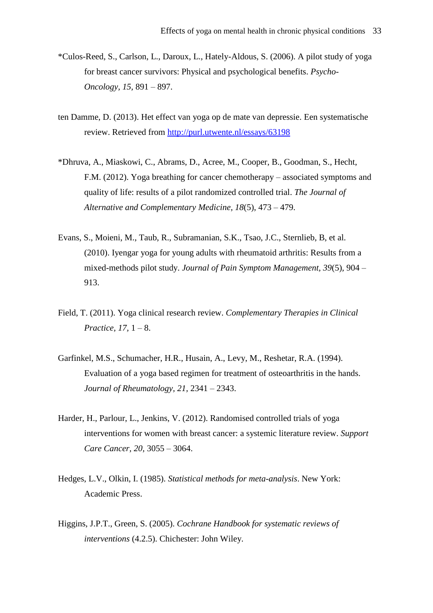- \*Culos-Reed, S., Carlson, L., Daroux, L., Hately-Aldous, S. (2006). A pilot study of yoga for breast cancer survivors: Physical and psychological benefits. *Psycho-Oncology, 15,* 891 – 897.
- ten Damme, D. (2013). Het effect van yoga op de mate van depressie. Een systematische review. Retrieved from<http://purl.utwente.nl/essays/63198>
- \*Dhruva, A., Miaskowi, C., Abrams, D., Acree, M., Cooper, B., Goodman, S., Hecht, F.M. (2012). Yoga breathing for cancer chemotherapy – associated symptoms and quality of life: results of a pilot randomized controlled trial. *The Journal of Alternative and Complementary Medicine, 18*(5), 473 – 479.
- Evans, S., Moieni, M., Taub, R., Subramanian, S.K., Tsao, J.C., Sternlieb, B, et al. (2010). Iyengar yoga for young adults with rheumatoid arthritis: Results from a mixed-methods pilot study. *Journal of Pain Symptom Management, 39*(5)*,* 904 – 913.
- Field, T. (2011). Yoga clinical research review. *Complementary Therapies in Clinical Practice, 17,* 1 – 8.
- Garfinkel, M.S., Schumacher, H.R., Husain, A., Levy, M., Reshetar, R.A. (1994). Evaluation of a yoga based regimen for treatment of osteoarthritis in the hands. *Journal of Rheumatology, 21,* 2341 – 2343.
- Harder, H., Parlour, L., Jenkins, V. (2012). Randomised controlled trials of yoga interventions for women with breast cancer: a systemic literature review. *Support Care Cancer, 20,* 3055 – 3064.
- Hedges, L.V., Olkin, I. (1985). *Statistical methods for meta-analysis*. New York: Academic Press.
- Higgins, J.P.T., Green, S. (2005). *Cochrane Handbook for systematic reviews of interventions* (4.2.5). Chichester: John Wiley.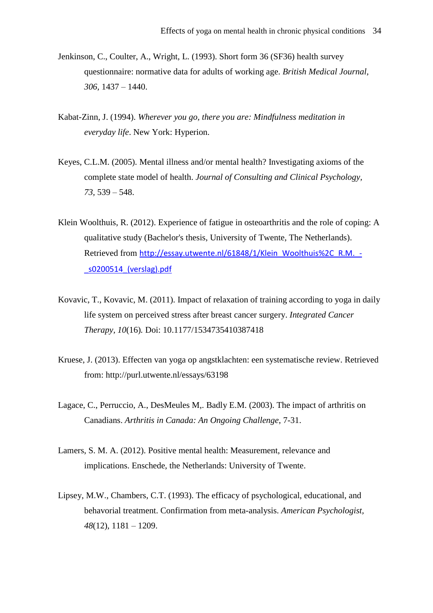- Jenkinson, C., Coulter, A., Wright, L. (1993). Short form 36 (SF36) health survey questionnaire: normative data for adults of working age. *British Medical Journal, 306,* 1437 – 1440.
- Kabat-Zinn, J. (1994). *Wherever you go, there you are: Mindfulness meditation in everyday life*. New York: Hyperion.
- Keyes, C.L.M. (2005). Mental illness and/or mental health? Investigating axioms of the complete state model of health. *Journal of Consulting and Clinical Psychology, 73,* 539 – 548.
- Klein Woolthuis, R. (2012). Experience of fatigue in osteoarthritis and the role of coping: A qualitative study (Bachelor's thesis, University of Twente, The Netherlands). Retrieved from http://essay.utwente.nl/61848/1/Klein\_Woolthuis%2C\_R.M. -[\\_s0200514\\_\(verslag\).pdf](http://essay.utwente.nl/61848/1/Klein_Woolthuis%2C_R.M._-_s0200514_(verslag).pdf)
- Kovavic, T., Kovavic, M. (2011). Impact of relaxation of training according to yoga in daily life system on perceived stress after breast cancer surgery. *Integrated Cancer Therapy, 10*(16)*.* Doi: 10.1177/1534735410387418
- Kruese, J. (2013). Effecten van yoga op angstklachten: een systematische review. Retrieved from: http://purl.utwente.nl/essays/63198
- Lagace, C., Perruccio, A., DesMeules M,. Badly E.M. (2003). The impact of arthritis on Canadians. *Arthritis in Canada: An Ongoing Challenge*, 7-31.
- Lamers, S. M. A. (2012). Positive mental health: Measurement, relevance and implications. Enschede, the Netherlands: University of Twente.
- Lipsey, M.W., Chambers, C.T. (1993). The efficacy of psychological, educational, and behavorial treatment. Confirmation from meta-analysis. *American Psychologist, 48*(12)*,* 1181 – 1209.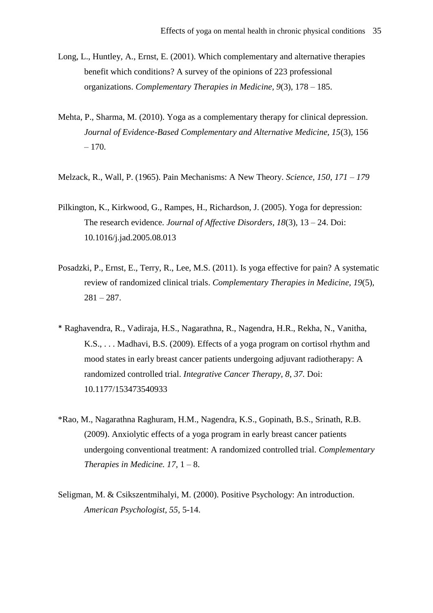- Long, L., Huntley, A., Ernst, E. (2001). Which complementary and alternative therapies benefit which conditions? A survey of the opinions of 223 professional organizations. *Complementary Therapies in Medicine, 9*(3)*,* 178 – 185.
- Mehta, P., Sharma, M. (2010). Yoga as a complementary therapy for clinical depression. *Journal of Evidence-Based Complementary and Alternative Medicine, 15*(3)*,* 156 – 170.
- Melzack, R., Wall, P. (1965). Pain Mechanisms: A New Theory. *Science, 150, 171 – 179*
- Pilkington, K., Kirkwood, G., Rampes, H., Richardson, J. (2005). Yoga for depression: The research evidence. *Journal of Affective Disorders, 18*(3)*,* 13 – 24. Doi: 10.1016/j.jad.2005.08.013
- Posadzki, P., Ernst, E., Terry, R., Lee, M.S. (2011). Is yoga effective for pain? A systematic review of randomized clinical trials. *Complementary Therapies in Medicine, 19*(5)*,*   $281 - 287.$
- \* Raghavendra, R., Vadiraja, H.S., Nagarathna, R., Nagendra, H.R., Rekha, N., Vanitha, K.S., . . . Madhavi, B.S. (2009). Effects of a yoga program on cortisol rhythm and mood states in early breast cancer patients undergoing adjuvant radiotherapy: A randomized controlled trial. *Integrative Cancer Therapy, 8, 37.* Doi: 10.1177/153473540933
- \*Rao, M., Nagarathna Raghuram, H.M., Nagendra, K.S., Gopinath, B.S., Srinath, R.B. (2009). Anxiolytic effects of a yoga program in early breast cancer patients undergoing conventional treatment: A randomized controlled trial. *Complementary Therapies in Medicine.*  $17, 1 - 8$ .
- Seligman, M. & Csikszentmihalyi, M. (2000). Positive Psychology: An introduction. *American Psychologist, 55,* 5-14.